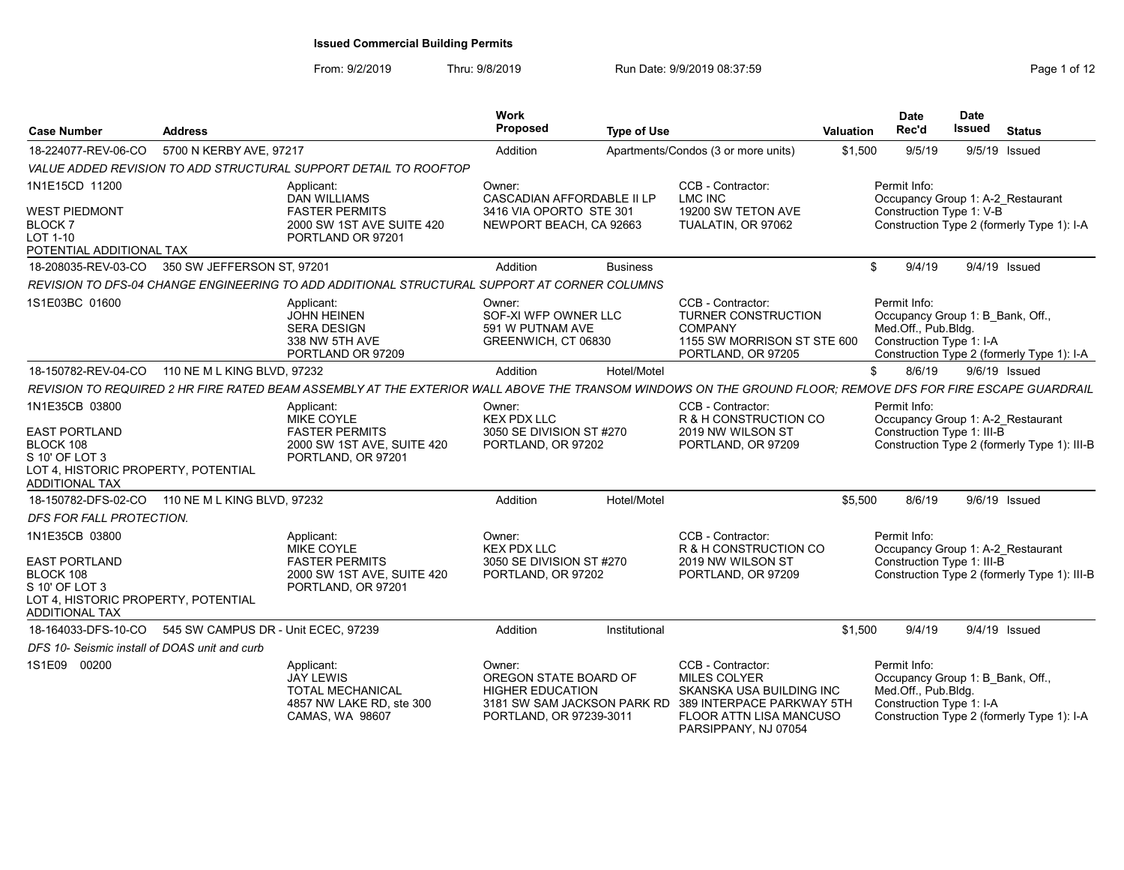| <b>Case Number</b>                                                                                                                    | <b>Address</b>              |                                                                                                                                                             | Work<br>Proposed                                                                                                     | <b>Type of Use</b> |                                                                                                                                                      | <b>Valuation</b> | <b>Date</b><br>Rec'd                                                                                | <b>Date</b><br>Issued | <b>Status</b>                                |
|---------------------------------------------------------------------------------------------------------------------------------------|-----------------------------|-------------------------------------------------------------------------------------------------------------------------------------------------------------|----------------------------------------------------------------------------------------------------------------------|--------------------|------------------------------------------------------------------------------------------------------------------------------------------------------|------------------|-----------------------------------------------------------------------------------------------------|-----------------------|----------------------------------------------|
| 18-224077-REV-06-CO                                                                                                                   | 5700 N KERBY AVE, 97217     |                                                                                                                                                             | Addition                                                                                                             |                    | Apartments/Condos (3 or more units)                                                                                                                  | \$1,500          | 9/5/19                                                                                              |                       | 9/5/19 Issued                                |
|                                                                                                                                       |                             | VALUE ADDED REVISION TO ADD STRUCTURAL SUPPORT DETAIL TO ROOFTOP                                                                                            |                                                                                                                      |                    |                                                                                                                                                      |                  |                                                                                                     |                       |                                              |
| 1N1E15CD 11200                                                                                                                        |                             | Applicant:<br><b>DAN WILLIAMS</b>                                                                                                                           | Owner:<br>CASCADIAN AFFORDABLE II LP                                                                                 |                    | CCB - Contractor:<br><b>LMC INC</b>                                                                                                                  |                  | Permit Info:<br>Occupancy Group 1: A-2 Restaurant                                                   |                       |                                              |
| <b>WEST PIEDMONT</b><br><b>BLOCK7</b><br>LOT 1-10<br>POTENTIAL ADDITIONAL TAX                                                         |                             | <b>FASTER PERMITS</b><br>2000 SW 1ST AVE SUITE 420<br>PORTLAND OR 97201                                                                                     | 3416 VIA OPORTO STE 301<br>NEWPORT BEACH, CA 92663                                                                   |                    | 19200 SW TETON AVE<br>TUALATIN, OR 97062                                                                                                             |                  | Construction Type 1: V-B                                                                            |                       | Construction Type 2 (formerly Type 1): I-A   |
| 18-208035-REV-03-CO                                                                                                                   | 350 SW JEFFERSON ST. 97201  |                                                                                                                                                             | Addition                                                                                                             | <b>Business</b>    |                                                                                                                                                      | \$.              | 9/4/19                                                                                              |                       | 9/4/19 Issued                                |
|                                                                                                                                       |                             | REVISION TO DFS-04 CHANGE ENGINEERING TO ADD ADDITIONAL STRUCTURAL SUPPORT AT CORNER COLUMNS                                                                |                                                                                                                      |                    |                                                                                                                                                      |                  |                                                                                                     |                       |                                              |
| 1S1E03BC 01600                                                                                                                        |                             | Applicant:<br><b>JOHN HEINEN</b><br><b>SERA DESIGN</b><br>338 NW 5TH AVE<br>PORTLAND OR 97209                                                               | Owner:<br>SOF-XI WFP OWNER LLC<br>591 W PUTNAM AVE<br>GREENWICH, CT 06830                                            |                    | CCB - Contractor:<br><b>TURNER CONSTRUCTION</b><br><b>COMPANY</b><br>1155 SW MORRISON ST STE 600<br>PORTLAND, OR 97205                               |                  | Permit Info:<br>Occupancy Group 1: B Bank, Off.,<br>Med.Off., Pub.Bldg.<br>Construction Type 1: I-A |                       | Construction Type 2 (formerly Type 1): I-A   |
| 18-150782-REV-04-CO                                                                                                                   | 110 NE M L KING BLVD, 97232 |                                                                                                                                                             | Addition                                                                                                             | Hotel/Motel        |                                                                                                                                                      | \$               | 8/6/19                                                                                              |                       | 9/6/19 Issued                                |
|                                                                                                                                       |                             | REVISION TO REQUIRED 2 HR FIRE RATED BEAM ASSEMBLY AT THE EXTERIOR WALL ABOVE THE TRANSOM WINDOWS ON THE GROUND FLOOR; REMOVE DFS FOR FIRE ESCAPE GUARDRAIL |                                                                                                                      |                    |                                                                                                                                                      |                  |                                                                                                     |                       |                                              |
| 1N1E35CB 03800<br><b>EAST PORTLAND</b><br>BLOCK 108<br>S 10' OF LOT 3<br>LOT 4, HISTORIC PROPERTY, POTENTIAL<br><b>ADDITIONAL TAX</b> |                             | Applicant:<br><b>MIKE COYLE</b><br><b>FASTER PERMITS</b><br>2000 SW 1ST AVE, SUITE 420<br>PORTLAND, OR 97201                                                | Owner:<br><b>KEX PDX LLC</b><br>3050 SE DIVISION ST #270<br>PORTLAND, OR 97202                                       |                    | CCB - Contractor:<br>R & H CONSTRUCTION CO<br>2019 NW WILSON ST<br>PORTLAND, OR 97209                                                                |                  | Permit Info:<br>Occupancy Group 1: A-2 Restaurant<br>Construction Type 1: III-B                     |                       | Construction Type 2 (formerly Type 1): III-B |
| 18-150782-DFS-02-CO                                                                                                                   | 110 NE M L KING BLVD, 97232 |                                                                                                                                                             | Addition                                                                                                             | Hotel/Motel        |                                                                                                                                                      | \$5,500          | 8/6/19                                                                                              |                       | $9/6/19$ Issued                              |
| DFS FOR FALL PROTECTION.                                                                                                              |                             |                                                                                                                                                             |                                                                                                                      |                    |                                                                                                                                                      |                  |                                                                                                     |                       |                                              |
| 1N1E35CB 03800                                                                                                                        |                             | Applicant:<br>MIKE COYLE                                                                                                                                    | Owner:<br><b>KEX PDX LLC</b>                                                                                         |                    | CCB - Contractor:<br>R & H CONSTRUCTION CO                                                                                                           |                  | Permit Info:<br>Occupancy Group 1: A-2 Restaurant                                                   |                       |                                              |
| <b>EAST PORTLAND</b><br>BLOCK 108<br>S 10' OF LOT 3<br>LOT 4, HISTORIC PROPERTY, POTENTIAL<br><b>ADDITIONAL TAX</b>                   |                             | <b>FASTER PERMITS</b><br>2000 SW 1ST AVE, SUITE 420<br>PORTLAND, OR 97201                                                                                   | 3050 SE DIVISION ST #270<br>PORTLAND, OR 97202                                                                       |                    | 2019 NW WILSON ST<br>PORTLAND, OR 97209                                                                                                              |                  | Construction Type 1: III-B                                                                          |                       | Construction Type 2 (formerly Type 1): III-B |
| 18-164033-DFS-10-CO 545 SW CAMPUS DR - Unit ECEC, 97239                                                                               |                             |                                                                                                                                                             | Addition                                                                                                             | Institutional      |                                                                                                                                                      | \$1,500          | 9/4/19                                                                                              |                       | $9/4/19$ Issued                              |
| DFS 10- Seismic install of DOAS unit and curb                                                                                         |                             |                                                                                                                                                             |                                                                                                                      |                    |                                                                                                                                                      |                  |                                                                                                     |                       |                                              |
| 1S1E09 00200                                                                                                                          |                             | Applicant:<br><b>JAY LEWIS</b><br><b>TOTAL MECHANICAL</b><br>4857 NW LAKE RD, ste 300<br>CAMAS, WA 98607                                                    | Owner:<br>OREGON STATE BOARD OF<br><b>HIGHER EDUCATION</b><br>3181 SW SAM JACKSON PARK RD<br>PORTLAND, OR 97239-3011 |                    | CCB - Contractor:<br><b>MILES COLYER</b><br>SKANSKA USA BUILDING INC<br>389 INTERPACE PARKWAY 5TH<br>FLOOR ATTN LISA MANCUSO<br>PARSIPPANY, NJ 07054 |                  | Permit Info:<br>Occupancy Group 1: B Bank, Off.,<br>Med.Off., Pub.Bldg.<br>Construction Type 1: I-A |                       | Construction Type 2 (formerly Type 1): I-A   |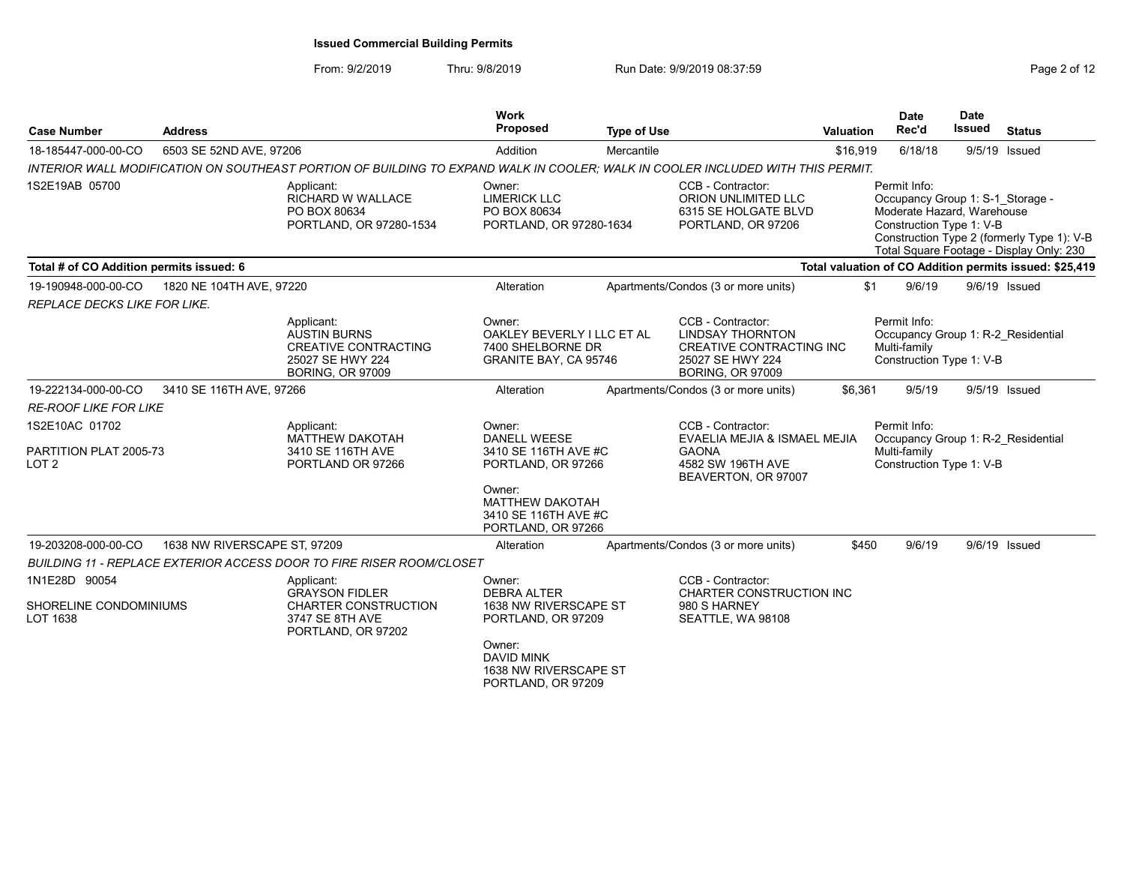| <b>Case Number</b>                                | <b>Address</b>               |                                                                                                                                 | Work<br><b>Proposed</b>                                                            | <b>Type of Use</b> |                                                                                                                                | <b>Valuation</b> | <b>Date</b><br>Rec'd                                                                                       | <b>Date</b><br><b>Issued</b> | <b>Status</b>                                                                          |
|---------------------------------------------------|------------------------------|---------------------------------------------------------------------------------------------------------------------------------|------------------------------------------------------------------------------------|--------------------|--------------------------------------------------------------------------------------------------------------------------------|------------------|------------------------------------------------------------------------------------------------------------|------------------------------|----------------------------------------------------------------------------------------|
| 18-185447-000-00-CO                               | 6503 SE 52ND AVE, 97206      |                                                                                                                                 | Addition                                                                           | Mercantile         |                                                                                                                                | \$16,919         | 6/18/18                                                                                                    |                              | 9/5/19 Issued                                                                          |
|                                                   |                              | INTERIOR WALL MODIFICATION ON SOUTHEAST PORTION OF BUILDING TO EXPAND WALK IN COOLER; WALK IN COOLER INCLUDED WITH THIS PERMIT. |                                                                                    |                    |                                                                                                                                |                  |                                                                                                            |                              |                                                                                        |
| 1S2E19AB 05700                                    |                              | Applicant:<br><b>RICHARD W WALLACE</b><br>PO BOX 80634<br>PORTLAND, OR 97280-1534                                               | Owner:<br><b>LIMERICK LLC</b><br>PO BOX 80634<br>PORTLAND, OR 97280-1634           |                    | CCB - Contractor:<br>ORION UNLIMITED LLC<br>6315 SE HOLGATE BLVD<br>PORTLAND, OR 97206                                         |                  | Permit Info:<br>Occupancy Group 1: S-1 Storage -<br>Moderate Hazard, Warehouse<br>Construction Type 1: V-B |                              | Construction Type 2 (formerly Type 1): V-B<br>Total Square Footage - Display Only: 230 |
| Total # of CO Addition permits issued: 6          |                              |                                                                                                                                 |                                                                                    |                    |                                                                                                                                |                  |                                                                                                            |                              | Total valuation of CO Addition permits issued: \$25,419                                |
| 19-190948-000-00-CO                               | 1820 NE 104TH AVE, 97220     |                                                                                                                                 | Alteration                                                                         |                    | Apartments/Condos (3 or more units)                                                                                            | \$1              | 9/6/19                                                                                                     |                              | 9/6/19 Issued                                                                          |
| REPLACE DECKS LIKE FOR LIKE.                      |                              |                                                                                                                                 |                                                                                    |                    |                                                                                                                                |                  |                                                                                                            |                              |                                                                                        |
|                                                   |                              | Applicant:<br><b>AUSTIN BURNS</b><br><b>CREATIVE CONTRACTING</b><br>25027 SE HWY 224<br><b>BORING, OR 97009</b>                 | Owner:<br>OAKLEY BEVERLY I LLC ET AL<br>7400 SHELBORNE DR<br>GRANITE BAY, CA 95746 |                    | CCB - Contractor:<br><b>LINDSAY THORNTON</b><br><b>CREATIVE CONTRACTING INC</b><br>25027 SE HWY 224<br><b>BORING, OR 97009</b> |                  | Permit Info:<br>Multi-family<br>Construction Type 1: V-B                                                   |                              | Occupancy Group 1: R-2 Residential                                                     |
| 19-222134-000-00-CO                               | 3410 SE 116TH AVE, 97266     |                                                                                                                                 | Alteration                                                                         |                    | Apartments/Condos (3 or more units)                                                                                            | \$6,361          | 9/5/19                                                                                                     |                              | 9/5/19 Issued                                                                          |
| <b>RE-ROOF LIKE FOR LIKE</b>                      |                              |                                                                                                                                 |                                                                                    |                    |                                                                                                                                |                  |                                                                                                            |                              |                                                                                        |
| 1S2E10AC 01702<br>PARTITION PLAT 2005-73<br>LOT 2 |                              | Applicant:<br><b>MATTHEW DAKOTAH</b><br>3410 SE 116TH AVE<br>PORTLAND OR 97266                                                  | Owner:<br><b>DANELL WEESE</b><br>3410 SE 116TH AVE #C<br>PORTLAND, OR 97266        |                    | CCB - Contractor:<br>EVAELIA MEJIA & ISMAEL MEJIA<br><b>GAONA</b><br>4582 SW 196TH AVE<br>BEAVERTON, OR 97007                  |                  | Permit Info:<br>Multi-family<br>Construction Type 1: V-B                                                   |                              | Occupancy Group 1: R-2 Residential                                                     |
|                                                   |                              |                                                                                                                                 | Owner:<br><b>MATTHEW DAKOTAH</b><br>3410 SE 116TH AVE #C<br>PORTLAND, OR 97266     |                    |                                                                                                                                |                  |                                                                                                            |                              |                                                                                        |
| 19-203208-000-00-CO                               | 1638 NW RIVERSCAPE ST, 97209 |                                                                                                                                 | Alteration                                                                         |                    | Apartments/Condos (3 or more units)                                                                                            | \$450            | 9/6/19                                                                                                     |                              | 9/6/19 Issued                                                                          |
|                                                   |                              | BUILDING 11 - REPLACE EXTERIOR ACCESS DOOR TO FIRE RISER ROOM/CLOSET                                                            |                                                                                    |                    |                                                                                                                                |                  |                                                                                                            |                              |                                                                                        |
| 1N1E28D 90054                                     |                              | Applicant:                                                                                                                      | Owner:                                                                             |                    | CCB - Contractor:                                                                                                              |                  |                                                                                                            |                              |                                                                                        |
| SHORELINE CONDOMINIUMS<br>LOT 1638                |                              | <b>GRAYSON FIDLER</b><br><b>CHARTER CONSTRUCTION</b><br>3747 SE 8TH AVE<br>PORTLAND, OR 97202                                   | <b>DEBRA ALTER</b><br>1638 NW RIVERSCAPE ST<br>PORTLAND, OR 97209                  |                    | CHARTER CONSTRUCTION INC<br>980 S HARNEY<br>SEATTLE, WA 98108                                                                  |                  |                                                                                                            |                              |                                                                                        |
|                                                   |                              |                                                                                                                                 | Owner:<br><b>DAVID MINK</b><br>1638 NW RIVERSCAPE ST<br>PORTLAND, OR 97209         |                    |                                                                                                                                |                  |                                                                                                            |                              |                                                                                        |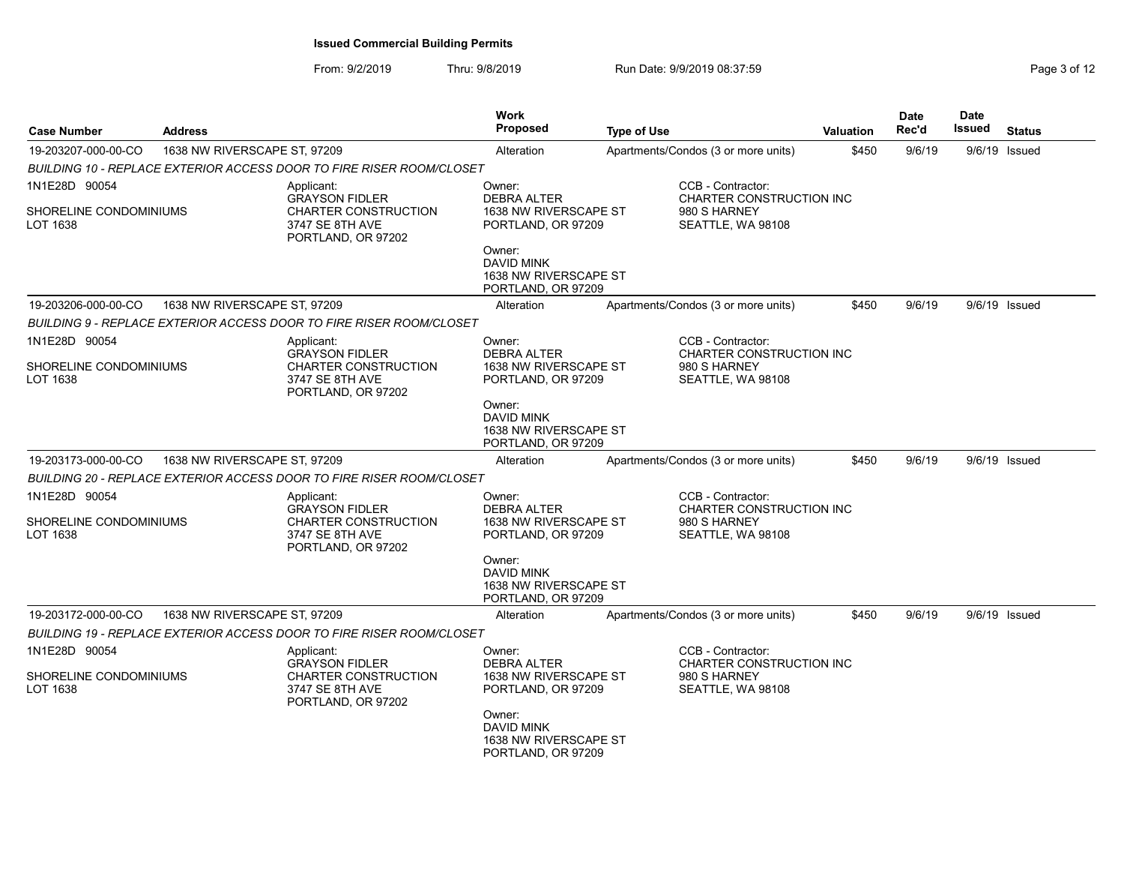| <b>Case Number</b>                                  | <b>Address</b>               |                                                                                                      | Work<br><b>Proposed</b>                                                     | <b>Type of Use</b>                                                                 |                                                                                    | Valuation | <b>Date</b><br>Rec'd | <b>Date</b><br><b>Issued</b> | <b>Status</b> |
|-----------------------------------------------------|------------------------------|------------------------------------------------------------------------------------------------------|-----------------------------------------------------------------------------|------------------------------------------------------------------------------------|------------------------------------------------------------------------------------|-----------|----------------------|------------------------------|---------------|
| 19-203207-000-00-CO                                 | 1638 NW RIVERSCAPE ST, 97209 |                                                                                                      | Alteration                                                                  |                                                                                    | Apartments/Condos (3 or more units)                                                | \$450     | 9/6/19               |                              | 9/6/19 Issued |
|                                                     |                              | BUILDING 10 - REPLACE EXTERIOR ACCESS DOOR TO FIRE RISER ROOM/CLOSET                                 |                                                                             |                                                                                    |                                                                                    |           |                      |                              |               |
| 1N1E28D 90054<br>SHORELINE CONDOMINIUMS<br>LOT 1638 |                              | Applicant:<br><b>GRAYSON FIDLER</b><br>CHARTER CONSTRUCTION<br>3747 SE 8TH AVE<br>PORTLAND, OR 97202 | Owner:<br><b>DEBRA ALTER</b><br>1638 NW RIVERSCAPE ST<br>PORTLAND, OR 97209 | CCB - Contractor:<br>CHARTER CONSTRUCTION INC<br>980 S HARNEY<br>SEATTLE, WA 98108 |                                                                                    |           |                      |                              |               |
|                                                     |                              |                                                                                                      | Owner:<br><b>DAVID MINK</b><br>1638 NW RIVERSCAPE ST<br>PORTLAND, OR 97209  |                                                                                    |                                                                                    |           |                      |                              |               |
| 19-203206-000-00-CO                                 | 1638 NW RIVERSCAPE ST, 97209 |                                                                                                      | Alteration                                                                  |                                                                                    | Apartments/Condos (3 or more units)                                                | \$450     | 9/6/19               |                              | 9/6/19 Issued |
|                                                     |                              | BUILDING 9 - REPLACE EXTERIOR ACCESS DOOR TO FIRE RISER ROOM/CLOSET                                  |                                                                             |                                                                                    |                                                                                    |           |                      |                              |               |
| 1N1E28D 90054<br>SHORELINE CONDOMINIUMS<br>LOT 1638 |                              | Applicant:<br><b>GRAYSON FIDLER</b><br>CHARTER CONSTRUCTION<br>3747 SE 8TH AVE<br>PORTLAND, OR 97202 | Owner:<br><b>DEBRA ALTER</b><br>1638 NW RIVERSCAPE ST<br>PORTLAND, OR 97209 |                                                                                    | CCB - Contractor:<br>CHARTER CONSTRUCTION INC<br>980 S HARNEY<br>SEATTLE, WA 98108 |           |                      |                              |               |
|                                                     |                              |                                                                                                      | Owner:<br><b>DAVID MINK</b><br>1638 NW RIVERSCAPE ST<br>PORTLAND, OR 97209  |                                                                                    |                                                                                    |           |                      |                              |               |
| 19-203173-000-00-CO                                 | 1638 NW RIVERSCAPE ST, 97209 |                                                                                                      | Alteration                                                                  |                                                                                    | Apartments/Condos (3 or more units)                                                | \$450     | 9/6/19               |                              | 9/6/19 Issued |
|                                                     |                              | BUILDING 20 - REPLACE EXTERIOR ACCESS DOOR TO FIRE RISER ROOM/CLOSET                                 |                                                                             |                                                                                    |                                                                                    |           |                      |                              |               |
| 1N1E28D 90054<br>SHORELINE CONDOMINIUMS<br>LOT 1638 |                              | Applicant:<br><b>GRAYSON FIDLER</b><br>CHARTER CONSTRUCTION<br>3747 SE 8TH AVE<br>PORTLAND, OR 97202 | Owner:<br><b>DEBRA ALTER</b><br>1638 NW RIVERSCAPE ST<br>PORTLAND, OR 97209 |                                                                                    | CCB - Contractor:<br>CHARTER CONSTRUCTION INC<br>980 S HARNEY<br>SEATTLE, WA 98108 |           |                      |                              |               |
|                                                     |                              |                                                                                                      | Owner:<br><b>DAVID MINK</b><br>1638 NW RIVERSCAPE ST<br>PORTLAND, OR 97209  |                                                                                    |                                                                                    |           |                      |                              |               |
| 19-203172-000-00-CO                                 | 1638 NW RIVERSCAPE ST, 97209 |                                                                                                      | Alteration                                                                  |                                                                                    | Apartments/Condos (3 or more units)                                                | \$450     | 9/6/19               |                              | 9/6/19 Issued |
|                                                     |                              | BUILDING 19 - REPLACE EXTERIOR ACCESS DOOR TO FIRE RISER ROOM/CLOSET                                 |                                                                             |                                                                                    |                                                                                    |           |                      |                              |               |
| 1N1E28D 90054<br>SHORELINE CONDOMINIUMS<br>LOT 1638 |                              | Applicant:<br><b>GRAYSON FIDLER</b><br>CHARTER CONSTRUCTION<br>3747 SE 8TH AVE<br>PORTLAND, OR 97202 | Owner:<br>DEBRA ALTER<br>1638 NW RIVERSCAPE ST<br>PORTLAND, OR 97209        |                                                                                    | CCB - Contractor:<br>CHARTER CONSTRUCTION INC<br>980 S HARNEY<br>SEATTLE, WA 98108 |           |                      |                              |               |
|                                                     |                              |                                                                                                      | Owner:<br><b>DAVID MINK</b><br>1638 NW RIVERSCAPE ST<br>PORTLAND, OR 97209  |                                                                                    |                                                                                    |           |                      |                              |               |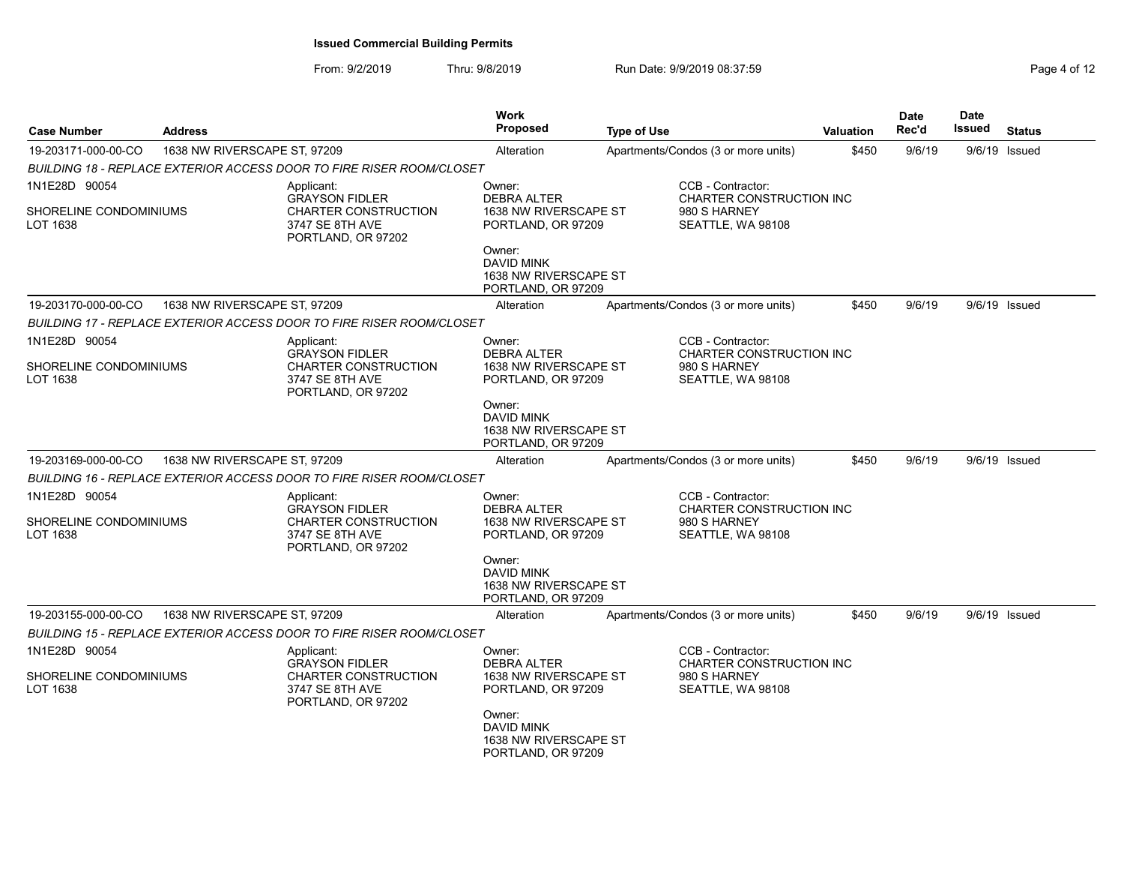| Page 4 of 12 |  |  |
|--------------|--|--|
|--------------|--|--|

| <b>Case Number</b>                      | <b>Address</b>               |                                                                                               | Work<br><b>Proposed</b>                                             | Type of Use |                                                                      | <b>Valuation</b> | <b>Date</b><br>Rec'd | <b>Date</b><br>Issued | <b>Status</b> |
|-----------------------------------------|------------------------------|-----------------------------------------------------------------------------------------------|---------------------------------------------------------------------|-------------|----------------------------------------------------------------------|------------------|----------------------|-----------------------|---------------|
| 19-203171-000-00-CO                     | 1638 NW RIVERSCAPE ST, 97209 |                                                                                               | Alteration                                                          |             | Apartments/Condos (3 or more units)                                  | \$450            | 9/6/19               |                       | 9/6/19 Issued |
|                                         |                              | BUILDING 18 - REPLACE EXTERIOR ACCESS DOOR TO FIRE RISER ROOM/CLOSET                          |                                                                     |             |                                                                      |                  |                      |                       |               |
| 1N1E28D 90054<br>SHORELINE CONDOMINIUMS |                              | Applicant:<br><b>GRAYSON FIDLER</b><br><b>CHARTER CONSTRUCTION</b>                            | Owner:<br><b>DEBRA ALTER</b><br>1638 NW RIVERSCAPE ST               |             | CCB - Contractor:<br>CHARTER CONSTRUCTION INC<br>980 S HARNEY        |                  |                      |                       |               |
| LOT 1638                                |                              | 3747 SE 8TH AVE<br>PORTLAND, OR 97202                                                         | PORTLAND, OR 97209                                                  |             | SEATTLE, WA 98108                                                    |                  |                      |                       |               |
|                                         |                              |                                                                                               | Owner:<br>DAVID MINK<br>1638 NW RIVERSCAPE ST<br>PORTLAND, OR 97209 |             |                                                                      |                  |                      |                       |               |
| 19-203170-000-00-CO                     | 1638 NW RIVERSCAPE ST, 97209 |                                                                                               | Alteration                                                          |             | Apartments/Condos (3 or more units)                                  | \$450            | 9/6/19               |                       | 9/6/19 Issued |
|                                         |                              | <b>BUILDING 17 - REPLACE EXTERIOR ACCESS DOOR TO FIRE RISER ROOM/CLOSET</b>                   |                                                                     |             |                                                                      |                  |                      |                       |               |
| 1N1E28D 90054                           |                              | Applicant:<br><b>GRAYSON FIDLER</b>                                                           | Owner:<br>DEBRA ALTER                                               |             | CCB - Contractor:<br>CHARTER CONSTRUCTION INC                        |                  |                      |                       |               |
| SHORELINE CONDOMINIUMS<br>LOT 1638      |                              | <b>CHARTER CONSTRUCTION</b><br>3747 SE 8TH AVE<br>PORTLAND, OR 97202                          | 1638 NW RIVERSCAPE ST<br>PORTLAND, OR 97209                         |             | 980 S HARNEY<br>SEATTLE, WA 98108                                    |                  |                      |                       |               |
|                                         |                              |                                                                                               | Owner:<br>DAVID MINK<br>1638 NW RIVERSCAPE ST<br>PORTLAND, OR 97209 |             |                                                                      |                  |                      |                       |               |
| 19-203169-000-00-CO                     | 1638 NW RIVERSCAPE ST, 97209 |                                                                                               | Alteration                                                          |             | Apartments/Condos (3 or more units)                                  | \$450            | 9/6/19               |                       | 9/6/19 Issued |
|                                         |                              | BUILDING 16 - REPLACE EXTERIOR ACCESS DOOR TO FIRE RISER ROOM/CLOSET                          |                                                                     |             |                                                                      |                  |                      |                       |               |
| 1N1E28D 90054                           |                              | Applicant:                                                                                    | Owner:                                                              |             | CCB - Contractor:                                                    |                  |                      |                       |               |
| SHORELINE CONDOMINIUMS<br>LOT 1638      |                              | <b>GRAYSON FIDLER</b><br><b>CHARTER CONSTRUCTION</b><br>3747 SE 8TH AVE<br>PORTLAND, OR 97202 | <b>DEBRA ALTER</b><br>1638 NW RIVERSCAPE ST<br>PORTLAND, OR 97209   |             | <b>CHARTER CONSTRUCTION INC</b><br>980 S HARNEY<br>SEATTLE, WA 98108 |                  |                      |                       |               |
|                                         |                              |                                                                                               | Owner:<br>DAVID MINK<br>1638 NW RIVERSCAPE ST<br>PORTLAND, OR 97209 |             |                                                                      |                  |                      |                       |               |
| 19-203155-000-00-CO                     | 1638 NW RIVERSCAPE ST, 97209 |                                                                                               | Alteration                                                          |             | Apartments/Condos (3 or more units)                                  | \$450            | 9/6/19               |                       | 9/6/19 Issued |
|                                         |                              | <b>BUILDING 15 - REPLACE EXTERIOR ACCESS DOOR TO FIRE RISER ROOM/CLOSET</b>                   |                                                                     |             |                                                                      |                  |                      |                       |               |
| 1N1E28D 90054                           |                              | Applicant:<br><b>GRAYSON FIDLER</b>                                                           | Owner:<br>DEBRA ALTER                                               |             | CCB - Contractor:<br>CHARTER CONSTRUCTION INC                        |                  |                      |                       |               |
| SHORELINE CONDOMINIUMS<br>LOT 1638      |                              | CHARTER CONSTRUCTION<br>3747 SE 8TH AVE<br>PORTLAND, OR 97202                                 | 1638 NW RIVERSCAPE ST<br>PORTLAND, OR 97209                         |             | 980 S HARNEY<br>SEATTLE, WA 98108                                    |                  |                      |                       |               |
|                                         |                              |                                                                                               | Owner:<br>DAVID MINK<br>1638 NW RIVERSCAPE ST<br>PORTLAND, OR 97209 |             |                                                                      |                  |                      |                       |               |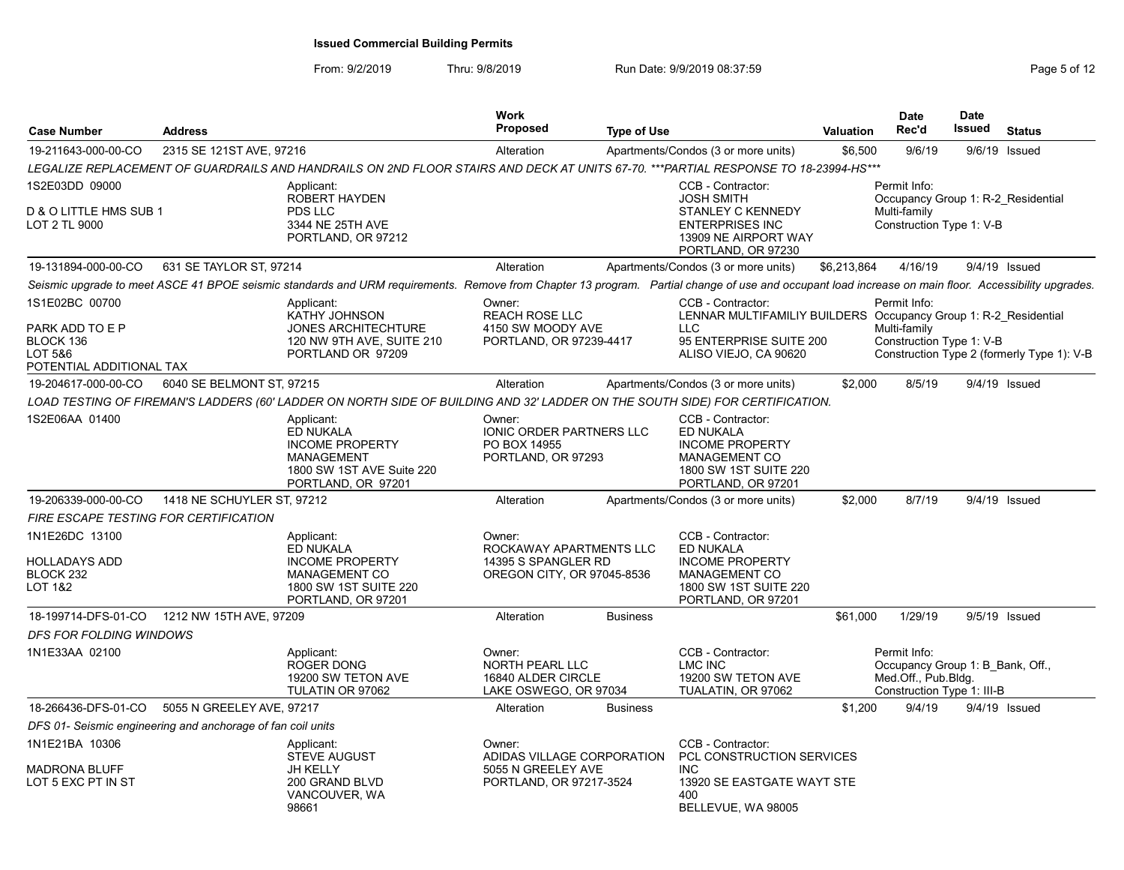| <b>Case Number</b>                                                                    | <b>Address</b>                                                                                                                                                                                       | <b>Work</b><br><b>Proposed</b>                                                         | <b>Type of Use</b>                                                                                                                              | Valuation   | <b>Date</b><br>Rec'd                | <b>Date</b><br>Issued                                          | <b>Status</b>                              |
|---------------------------------------------------------------------------------------|------------------------------------------------------------------------------------------------------------------------------------------------------------------------------------------------------|----------------------------------------------------------------------------------------|-------------------------------------------------------------------------------------------------------------------------------------------------|-------------|-------------------------------------|----------------------------------------------------------------|--------------------------------------------|
| 19-211643-000-00-CO                                                                   | 2315 SE 121ST AVE, 97216                                                                                                                                                                             | Alteration                                                                             | Apartments/Condos (3 or more units)                                                                                                             | \$6,500     | 9/6/19                              | 9/6/19 Issued                                                  |                                            |
|                                                                                       | LEGALIZE REPLACEMENT OF GUARDRAILS AND HANDRAILS ON 2ND FLOOR STAIRS AND DECK AT UNITS 67-70. ***PARTIAL RESPONSE TO 18-23994-HS***                                                                  |                                                                                        |                                                                                                                                                 |             |                                     |                                                                |                                            |
| 1S2E03DD 09000<br>D & O LITTLE HMS SUB 1<br>LOT 2 TL 9000                             | Applicant:<br><b>ROBERT HAYDEN</b><br>PDS LLC<br>3344 NE 25TH AVE<br>PORTLAND, OR 97212                                                                                                              |                                                                                        | CCB - Contractor:<br><b>JOSH SMITH</b><br><b>STANLEY C KENNEDY</b><br><b>ENTERPRISES INC</b><br>13909 NE AIRPORT WAY<br>PORTLAND, OR 97230      |             | Permit Info:<br>Multi-family        | Occupancy Group 1: R-2 Residential<br>Construction Type 1: V-B |                                            |
| 19-131894-000-00-CO                                                                   | 631 SE TAYLOR ST. 97214                                                                                                                                                                              | Alteration                                                                             | Apartments/Condos (3 or more units)                                                                                                             | \$6,213,864 | 4/16/19                             | 9/4/19 Issued                                                  |                                            |
|                                                                                       | Seismic upgrade to meet ASCE 41 BPOE seismic standards and URM requirements. Remove from Chapter 13 program. Partial change of use and occupant load increase on main floor. Accessibility upgrades. |                                                                                        |                                                                                                                                                 |             |                                     |                                                                |                                            |
| 1S1E02BC 00700<br>PARK ADD TO E P<br>BLOCK 136<br>LOT 5&6<br>POTENTIAL ADDITIONAL TAX | Applicant:<br>KATHY JOHNSON<br><b>JONES ARCHITECHTURE</b><br>120 NW 9TH AVE, SUITE 210<br>PORTLAND OR 97209                                                                                          | Owner:<br><b>REACH ROSE LLC</b><br>4150 SW MOODY AVE<br>PORTLAND, OR 97239-4417        | CCB - Contractor:<br>LENNAR MULTIFAMILIY BUILDERS Occupancy Group 1: R-2_Residential<br>LLC<br>95 ENTERPRISE SUITE 200<br>ALISO VIEJO, CA 90620 |             | Permit Info:<br>Multi-family        | Construction Type 1: V-B                                       | Construction Type 2 (formerly Type 1): V-B |
| 19-204617-000-00-CO                                                                   | 6040 SE BELMONT ST, 97215                                                                                                                                                                            | Alteration                                                                             | Apartments/Condos (3 or more units)                                                                                                             | \$2.000     | 8/5/19                              | 9/4/19 Issued                                                  |                                            |
|                                                                                       | LOAD TESTING OF FIREMAN'S LADDERS (60' LADDER ON NORTH SIDE OF BUILDING AND 32' LADDER ON THE SOUTH SIDE) FOR CERTIFICATION.                                                                         |                                                                                        |                                                                                                                                                 |             |                                     |                                                                |                                            |
| 1S2E06AA 01400                                                                        | Applicant:<br><b>ED NUKALA</b><br><b>INCOME PROPERTY</b><br><b>MANAGEMENT</b><br>1800 SW 1ST AVE Suite 220<br>PORTLAND, OR 97201                                                                     | Owner:<br>IONIC ORDER PARTNERS LLC<br>PO BOX 14955<br>PORTLAND, OR 97293               | CCB - Contractor:<br>ED NUKALA<br><b>INCOME PROPERTY</b><br><b>MANAGEMENT CO</b><br>1800 SW 1ST SUITE 220<br>PORTLAND, OR 97201                 |             |                                     |                                                                |                                            |
| 19-206339-000-00-CO                                                                   | 1418 NE SCHUYLER ST, 97212                                                                                                                                                                           | Alteration                                                                             | Apartments/Condos (3 or more units)                                                                                                             | \$2,000     | 8/7/19                              | 9/4/19 Issued                                                  |                                            |
| <b>FIRE ESCAPE TESTING FOR CERTIFICATION</b>                                          |                                                                                                                                                                                                      |                                                                                        |                                                                                                                                                 |             |                                     |                                                                |                                            |
| 1N1E26DC 13100<br><b>HOLLADAYS ADD</b><br>BLOCK 232<br>LOT 1&2                        | Applicant:<br><b>ED NUKALA</b><br><b>INCOME PROPERTY</b><br><b>MANAGEMENT CO</b><br>1800 SW 1ST SUITE 220<br>PORTLAND, OR 97201                                                                      | Owner:<br>ROCKAWAY APARTMENTS LLC<br>14395 S SPANGLER RD<br>OREGON CITY, OR 97045-8536 | CCB - Contractor:<br>ED NUKALA<br><b>INCOME PROPERTY</b><br><b>MANAGEMENT CO</b><br>1800 SW 1ST SUITE 220<br>PORTLAND, OR 97201                 |             |                                     |                                                                |                                            |
|                                                                                       | 18-199714-DFS-01-CO 1212 NW 15TH AVE, 97209                                                                                                                                                          | Alteration                                                                             | <b>Business</b>                                                                                                                                 | \$61,000    | 1/29/19                             | 9/5/19 Issued                                                  |                                            |
| <b>DFS FOR FOLDING WINDOWS</b>                                                        |                                                                                                                                                                                                      |                                                                                        |                                                                                                                                                 |             |                                     |                                                                |                                            |
| 1N1E33AA 02100                                                                        | Applicant:<br><b>ROGER DONG</b><br>19200 SW TETON AVE<br>TULATIN OR 97062                                                                                                                            | Owner:<br>NORTH PEARL LLC<br>16840 ALDER CIRCLE<br>LAKE OSWEGO, OR 97034               | CCB - Contractor:<br>LMC INC<br>19200 SW TETON AVE<br>TUALATIN, OR 97062                                                                        |             | Permit Info:<br>Med.Off., Pub.Bldg. | Occupancy Group 1: B Bank, Off.<br>Construction Type 1: III-B  |                                            |
|                                                                                       | 18-266436-DFS-01-CO 5055 N GREELEY AVE, 97217                                                                                                                                                        | Alteration                                                                             | <b>Business</b>                                                                                                                                 | \$1,200     | 9/4/19                              | 9/4/19 Issued                                                  |                                            |
|                                                                                       | DFS 01- Seismic engineering and anchorage of fan coil units                                                                                                                                          |                                                                                        |                                                                                                                                                 |             |                                     |                                                                |                                            |
| 1N1E21BA 10306<br><b>MADRONA BLUFF</b><br>LOT 5 EXC PT IN ST                          | Applicant:<br><b>STEVE AUGUST</b><br>JH KELLY<br>200 GRAND BLVD<br>VANCOUVER, WA<br>98661                                                                                                            | Owner:<br>ADIDAS VILLAGE CORPORATION<br>5055 N GREELEY AVE<br>PORTLAND, OR 97217-3524  | CCB - Contractor:<br>PCL CONSTRUCTION SERVICES<br><b>INC</b><br>13920 SE EASTGATE WAYT STE<br>400<br>BELLEVUE, WA 98005                         |             |                                     |                                                                |                                            |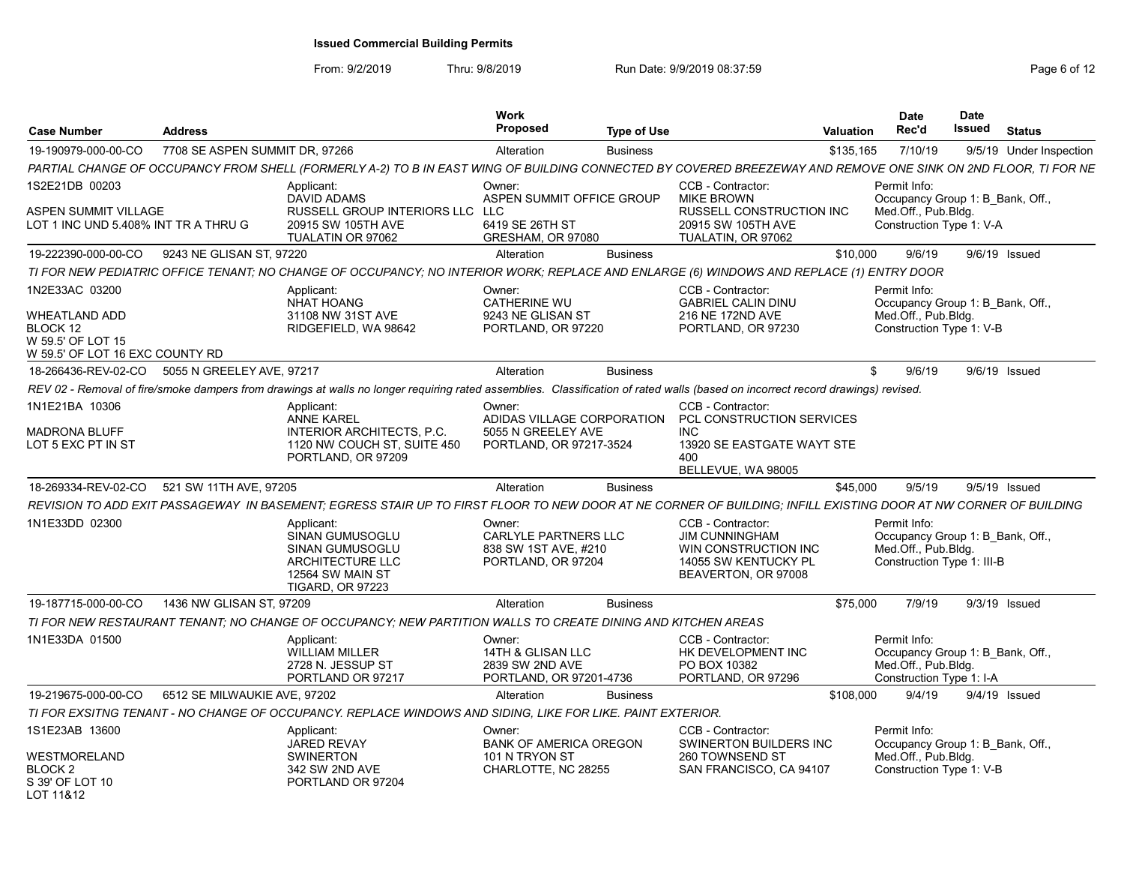| <b>Case Number</b>                                                 | <b>Address</b>                 |                                                                                                                                                                                 | Work<br>Proposed                                                             | <b>Type of Use</b> |                                                                                                                   | <b>Valuation</b> | <b>Date</b><br>Rec'd                                              | <b>Date</b><br><b>Issued</b><br><b>Status</b> |  |
|--------------------------------------------------------------------|--------------------------------|---------------------------------------------------------------------------------------------------------------------------------------------------------------------------------|------------------------------------------------------------------------------|--------------------|-------------------------------------------------------------------------------------------------------------------|------------------|-------------------------------------------------------------------|-----------------------------------------------|--|
| 19-190979-000-00-CO                                                | 7708 SE ASPEN SUMMIT DR, 97266 |                                                                                                                                                                                 | Alteration                                                                   | <b>Business</b>    |                                                                                                                   | \$135,165        | 7/10/19                                                           | 9/5/19 Under Inspection                       |  |
|                                                                    |                                | PARTIAL CHANGE OF OCCUPANCY FROM SHELL (FORMERLY A-2) TO B IN EAST WING OF BUILDING CONNECTED BY COVERED BREEZEWAY AND REMOVE ONE SINK ON 2ND FLOOR, TI FOR NE                  |                                                                              |                    |                                                                                                                   |                  |                                                                   |                                               |  |
| 1S2E21DB 00203<br>ASPEN SUMMIT VILLAGE                             |                                | Applicant:<br><b>DAVID ADAMS</b><br>RUSSELL GROUP INTERIORS LLC LLC                                                                                                             | Owner:<br>ASPEN SUMMIT OFFICE GROUP                                          |                    | CCB - Contractor:<br><b>MIKE BROWN</b><br><b>RUSSELL CONSTRUCTION INC</b>                                         |                  | Permit Info:<br>Med.Off., Pub.Bldg.                               | Occupancy Group 1: B_Bank, Off.,              |  |
| LOT 1 INC UND 5.408% INT TR A THRU G                               |                                | 20915 SW 105TH AVE<br>TUALATIN OR 97062                                                                                                                                         | 6419 SE 26TH ST<br>GRESHAM, OR 97080                                         |                    | 20915 SW 105TH AVE<br>TUALATIN, OR 97062                                                                          |                  | Construction Type 1: V-A                                          |                                               |  |
| 19-222390-000-00-CO                                                | 9243 NE GLISAN ST, 97220       |                                                                                                                                                                                 | Alteration                                                                   | <b>Business</b>    |                                                                                                                   | \$10.000         | 9/6/19                                                            | 9/6/19 Issued                                 |  |
|                                                                    |                                | TI FOR NEW PEDIATRIC OFFICE TENANT; NO CHANGE OF OCCUPANCY; NO INTERIOR WORK; REPLACE AND ENLARGE (6) WINDOWS AND REPLACE (1) ENTRY DOOR                                        |                                                                              |                    |                                                                                                                   |                  |                                                                   |                                               |  |
| 1N2E33AC 03200                                                     |                                | Applicant:<br><b>NHAT HOANG</b>                                                                                                                                                 | Owner:<br><b>CATHERINE WU</b>                                                |                    | CCB - Contractor:<br><b>GABRIEL CALIN DINU</b>                                                                    |                  | Permit Info:                                                      | Occupancy Group 1: B Bank, Off.               |  |
| WHEATLAND ADD<br>BLOCK 12<br>W 59.5' OF LOT 15                     |                                | 31108 NW 31ST AVE<br>RIDGEFIELD, WA 98642                                                                                                                                       | 9243 NE GLISAN ST<br>PORTLAND, OR 97220                                      |                    | 216 NE 172ND AVE<br>PORTLAND, OR 97230                                                                            |                  | Med.Off., Pub.Bldg.<br>Construction Type 1: V-B                   |                                               |  |
| W 59.5' OF LOT 16 EXC COUNTY RD                                    |                                |                                                                                                                                                                                 |                                                                              |                    |                                                                                                                   |                  |                                                                   |                                               |  |
| 18-266436-REV-02-CO 5055 N GREELEY AVE, 97217                      |                                |                                                                                                                                                                                 | Alteration                                                                   | <b>Business</b>    |                                                                                                                   | S.               | 9/6/19                                                            | 9/6/19 Issued                                 |  |
|                                                                    |                                | REV 02 - Removal of fire/smoke dampers from drawings at walls no longer requiring rated assemblies. Classification of rated walls (based on incorrect record drawings) revised. |                                                                              |                    |                                                                                                                   |                  |                                                                   |                                               |  |
| 1N1E21BA 10306                                                     |                                | Applicant:<br><b>ANNE KAREL</b>                                                                                                                                                 | Owner:                                                                       |                    | CCB - Contractor:<br>ADIDAS VILLAGE CORPORATION PCL CONSTRUCTION SERVICES                                         |                  |                                                                   |                                               |  |
| <b>MADRONA BLUFF</b><br>LOT 5 EXC PT IN ST                         |                                | <b>INTERIOR ARCHITECTS, P.C.</b><br>1120 NW COUCH ST, SUITE 450<br>PORTLAND, OR 97209                                                                                           | 5055 N GREELEY AVE<br>PORTLAND, OR 97217-3524                                |                    | INC.<br>13920 SE EASTGATE WAYT STE<br>400<br>BELLEVUE, WA 98005                                                   |                  |                                                                   |                                               |  |
| 18-269334-REV-02-CO 521 SW 11TH AVE, 97205                         |                                |                                                                                                                                                                                 | Alteration                                                                   | <b>Business</b>    |                                                                                                                   | \$45,000         | 9/5/19                                                            | 9/5/19 Issued                                 |  |
|                                                                    |                                | REVISION TO ADD EXIT PASSAGEWAY IN BASEMENT: EGRESS STAIR UP TO FIRST FLOOR TO NEW DOOR AT NE CORNER OF BUILDING: INFILL EXISTING DOOR AT NW CORNER OF BUILDING                 |                                                                              |                    |                                                                                                                   |                  |                                                                   |                                               |  |
| 1N1E33DD 02300                                                     |                                | Applicant:<br>SINAN GUMUSOGLU<br>SINAN GUMUSOGLU<br><b>ARCHITECTURE LLC</b><br>12564 SW MAIN ST<br><b>TIGARD, OR 97223</b>                                                      | Owner:<br>CARLYLE PARTNERS LLC<br>838 SW 1ST AVE, #210<br>PORTLAND, OR 97204 |                    | CCB - Contractor:<br><b>JIM CUNNINGHAM</b><br>WIN CONSTRUCTION INC<br>14055 SW KENTUCKY PL<br>BEAVERTON, OR 97008 |                  | Permit Info:<br>Med.Off., Pub.Bldg.<br>Construction Type 1: III-B | Occupancy Group 1: B Bank, Off.,              |  |
| 19-187715-000-00-CO                                                | 1436 NW GLISAN ST, 97209       |                                                                                                                                                                                 | Alteration                                                                   | <b>Business</b>    |                                                                                                                   | \$75,000         | 7/9/19                                                            | 9/3/19 Issued                                 |  |
|                                                                    |                                | TI FOR NEW RESTAURANT TENANT: NO CHANGE OF OCCUPANCY: NEW PARTITION WALLS TO CREATE DINING AND KITCHEN AREAS                                                                    |                                                                              |                    |                                                                                                                   |                  |                                                                   |                                               |  |
| 1N1E33DA 01500                                                     |                                | Applicant:<br><b>WILLIAM MILLER</b><br>2728 N. JESSUP ST<br>PORTLAND OR 97217                                                                                                   | Owner:<br>14TH & GLISAN LLC<br>2839 SW 2ND AVE<br>PORTLAND, OR 97201-4736    |                    | CCB - Contractor:<br>HK DEVELOPMENT INC<br>PO BOX 10382<br>PORTLAND, OR 97296                                     |                  | Permit Info:<br>Med.Off., Pub.Bldg.<br>Construction Type 1: I-A   | Occupancy Group 1: B_Bank, Off.,              |  |
| 19-219675-000-00-CO                                                | 6512 SE MILWAUKIE AVE, 97202   |                                                                                                                                                                                 | Alteration                                                                   | <b>Business</b>    |                                                                                                                   | \$108,000        | 9/4/19                                                            | 9/4/19 Issued                                 |  |
|                                                                    |                                | TI FOR EXSITNG TENANT - NO CHANGE OF OCCUPANCY. REPLACE WINDOWS AND SIDING, LIKE FOR LIKE. PAINT EXTERIOR.                                                                      |                                                                              |                    |                                                                                                                   |                  |                                                                   |                                               |  |
| 1S1E23AB 13600                                                     |                                | Applicant:                                                                                                                                                                      | Owner:                                                                       |                    | CCB - Contractor:                                                                                                 |                  | Permit Info:                                                      |                                               |  |
| WESTMORELAND<br>BLOCK <sub>2</sub><br>S 39' OF LOT 10<br>LOT 11&12 |                                | <b>JARED REVAY</b><br><b>SWINERTON</b><br>342 SW 2ND AVE<br>PORTLAND OR 97204                                                                                                   | <b>BANK OF AMERICA OREGON</b><br>101 N TRYON ST<br>CHARLOTTE, NC 28255       |                    | SWINERTON BUILDERS INC<br>260 TOWNSEND ST<br>SAN FRANCISCO, CA 94107                                              |                  | Med.Off., Pub.Bldg.<br>Construction Type 1: V-B                   | Occupancy Group 1: B Bank, Off.,              |  |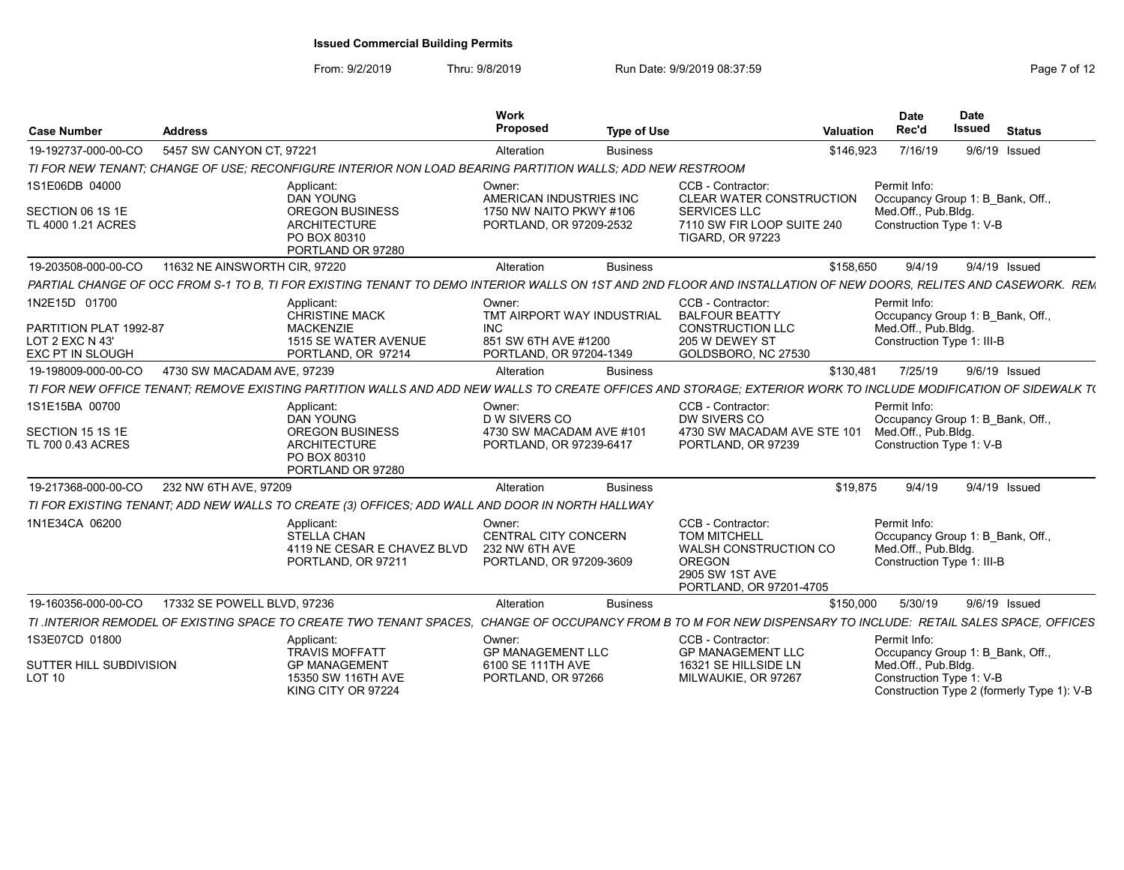| <b>Case Number</b>                                                                    | <b>Address</b>                |                                                                                                                                                                  | Work<br>Proposed                                                                                      | <b>Type of Use</b> |                                                                                                                                      | Valuation | <b>Date</b><br>Rec'd                                                                                  | <b>Date</b><br><b>Issued</b> | <b>Status</b> |
|---------------------------------------------------------------------------------------|-------------------------------|------------------------------------------------------------------------------------------------------------------------------------------------------------------|-------------------------------------------------------------------------------------------------------|--------------------|--------------------------------------------------------------------------------------------------------------------------------------|-----------|-------------------------------------------------------------------------------------------------------|------------------------------|---------------|
| 19-192737-000-00-CO                                                                   | 5457 SW CANYON CT. 97221      |                                                                                                                                                                  | Alteration                                                                                            | <b>Business</b>    |                                                                                                                                      | \$146,923 | 7/16/19                                                                                               | $9/6/19$ Issued              |               |
|                                                                                       |                               | TI FOR NEW TENANT; CHANGE OF USE; RECONFIGURE INTERIOR NON LOAD BEARING PARTITION WALLS; ADD NEW RESTROOM                                                        |                                                                                                       |                    |                                                                                                                                      |           |                                                                                                       |                              |               |
| 1S1E06DB 04000<br>SECTION 06 1S 1E<br>TL 4000 1.21 ACRES                              |                               | Applicant:<br><b>DAN YOUNG</b><br><b>OREGON BUSINESS</b><br><b>ARCHITECTURE</b><br>PO BOX 80310                                                                  | Owner:<br>AMERICAN INDUSTRIES INC<br>1750 NW NAITO PKWY #106<br>PORTLAND, OR 97209-2532               |                    | CCB - Contractor:<br><b>CLEAR WATER CONSTRUCTION</b><br><b>SERVICES LLC</b><br>7110 SW FIR LOOP SUITE 240<br><b>TIGARD, OR 97223</b> |           | Permit Info:<br>Occupancy Group 1: B Bank, Off.,<br>Med.Off., Pub.Bldg.<br>Construction Type 1: V-B   |                              |               |
|                                                                                       |                               | PORTLAND OR 97280                                                                                                                                                |                                                                                                       |                    |                                                                                                                                      |           |                                                                                                       |                              |               |
| 19-203508-000-00-CO                                                                   | 11632 NE AINSWORTH CIR, 97220 |                                                                                                                                                                  | Alteration                                                                                            | <b>Business</b>    |                                                                                                                                      | \$158,650 | 9/4/19                                                                                                | 9/4/19 Issued                |               |
|                                                                                       |                               | PARTIAL CHANGE OF OCC FROM S-1 TO B. TI FOR EXISTING TENANT TO DEMO INTERIOR WALLS ON 1ST AND 2ND FLOOR AND INSTALLATION OF NEW DOORS. RELITES AND CASEWORK. REM |                                                                                                       |                    |                                                                                                                                      |           |                                                                                                       |                              |               |
| 1N2E15D 01700<br>PARTITION PLAT 1992-87<br>LOT 2 EXC N 43'<br><b>EXC PT IN SLOUGH</b> |                               | Applicant:<br><b>CHRISTINE MACK</b><br><b>MACKENZIE</b><br>1515 SE WATER AVENUE<br>PORTLAND, OR 97214                                                            | Owner:<br>TMT AIRPORT WAY INDUSTRIAL<br><b>INC</b><br>851 SW 6TH AVE #1200<br>PORTLAND, OR 97204-1349 |                    | CCB - Contractor:<br><b>BALFOUR BEATTY</b><br><b>CONSTRUCTION LLC</b><br>205 W DEWEY ST<br>GOLDSBORO, NC 27530                       |           | Permit Info:<br>Occupancy Group 1: B Bank, Off.,<br>Med.Off., Pub.Bldg.<br>Construction Type 1: III-B |                              |               |
| 19-198009-000-00-CO                                                                   | 4730 SW MACADAM AVE, 97239    |                                                                                                                                                                  | Alteration                                                                                            | <b>Business</b>    |                                                                                                                                      | \$130,481 | 7/25/19                                                                                               | 9/6/19 Issued                |               |
|                                                                                       |                               | TI FOR NEW OFFICE TENANT: REMOVE EXISTING PARTITION WALLS AND ADD NEW WALLS TO CREATE OFFICES AND STORAGE: EXTERIOR WORK TO INCLUDE MODIFICATION OF SIDEWALK TO  |                                                                                                       |                    |                                                                                                                                      |           |                                                                                                       |                              |               |
| 1S1E15BA 00700                                                                        |                               | Applicant:<br>DAN YOUNG                                                                                                                                          | Owner <sup>-</sup><br>D W SIVERS CO                                                                   |                    | CCB - Contractor:<br>DW SIVERS CO                                                                                                    |           | Permit Info:<br>Occupancy Group 1: B Bank, Off.,                                                      |                              |               |
| SECTION 15 1S 1E<br>TL 700 0.43 ACRES                                                 |                               | <b>OREGON BUSINESS</b><br><b>ARCHITECTURE</b><br>PO BOX 80310<br>PORTLAND OR 97280                                                                               | 4730 SW MACADAM AVE #101<br>PORTLAND, OR 97239-6417                                                   |                    | 4730 SW MACADAM AVE STE 101<br>PORTLAND, OR 97239                                                                                    |           | Med.Off., Pub.Bldg.<br>Construction Type 1: V-B                                                       |                              |               |
| 19-217368-000-00-CO                                                                   | 232 NW 6TH AVE, 97209         |                                                                                                                                                                  | Alteration                                                                                            | <b>Business</b>    |                                                                                                                                      | \$19,875  | 9/4/19                                                                                                | 9/4/19 Issued                |               |
|                                                                                       |                               | TI FOR EXISTING TENANT: ADD NEW WALLS TO CREATE (3) OFFICES: ADD WALL AND DOOR IN NORTH HALLWAY                                                                  |                                                                                                       |                    |                                                                                                                                      |           |                                                                                                       |                              |               |
| 1N1E34CA 06200                                                                        |                               | Applicant:<br><b>STELLA CHAN</b><br>4119 NE CESAR E CHAVEZ BLVD<br>PORTLAND, OR 97211                                                                            | Owner:<br><b>CENTRAL CITY CONCERN</b><br>232 NW 6TH AVE<br>PORTLAND, OR 97209-3609                    |                    | CCB - Contractor:<br><b>TOM MITCHELL</b><br>WALSH CONSTRUCTION CO<br><b>OREGON</b><br>2905 SW 1ST AVE<br>PORTLAND, OR 97201-4705     |           | Permit Info:<br>Occupancy Group 1: B Bank, Off.,<br>Med.Off., Pub.Bldg.<br>Construction Type 1: III-B |                              |               |
| 19-160356-000-00-CO                                                                   | 17332 SE POWELL BLVD, 97236   |                                                                                                                                                                  | Alteration                                                                                            | <b>Business</b>    |                                                                                                                                      | \$150,000 | 5/30/19                                                                                               | 9/6/19 Issued                |               |
|                                                                                       |                               | TI JNTERIOR REMODEL OF EXISTING SPACE TO CREATE TWO TENANT SPACES. CHANGE OF OCCUPANCY FROM B TO M FOR NEW DISPENSARY TO INCLUDE: RETAIL SALES SPACE, OFFICES    |                                                                                                       |                    |                                                                                                                                      |           |                                                                                                       |                              |               |
| 1S3E07CD 01800                                                                        |                               | Applicant:<br><b>TRAVIS MOFFATT</b>                                                                                                                              | Owner:<br><b>GP MANAGEMENT LLC</b>                                                                    |                    | CCB - Contractor:<br><b>GP MANAGEMENT LLC</b>                                                                                        |           | Permit Info:<br>Occupancy Group 1: B Bank, Off.,                                                      |                              |               |
| SUTTER HILL SUBDIVISION<br><b>LOT 10</b>                                              |                               | <b>GP MANAGEMENT</b><br>15350 SW 116TH AVE<br>KING CITY OR 97224                                                                                                 | 6100 SE 111TH AVE<br>PORTLAND, OR 97266                                                               |                    | 16321 SE HILLSIDE LN<br>MILWAUKIE, OR 97267                                                                                          |           | Med.Off., Pub.Bldg.<br>Construction Type 1: V-B<br>Construction Type 2 (formerly Type 1): V-B         |                              |               |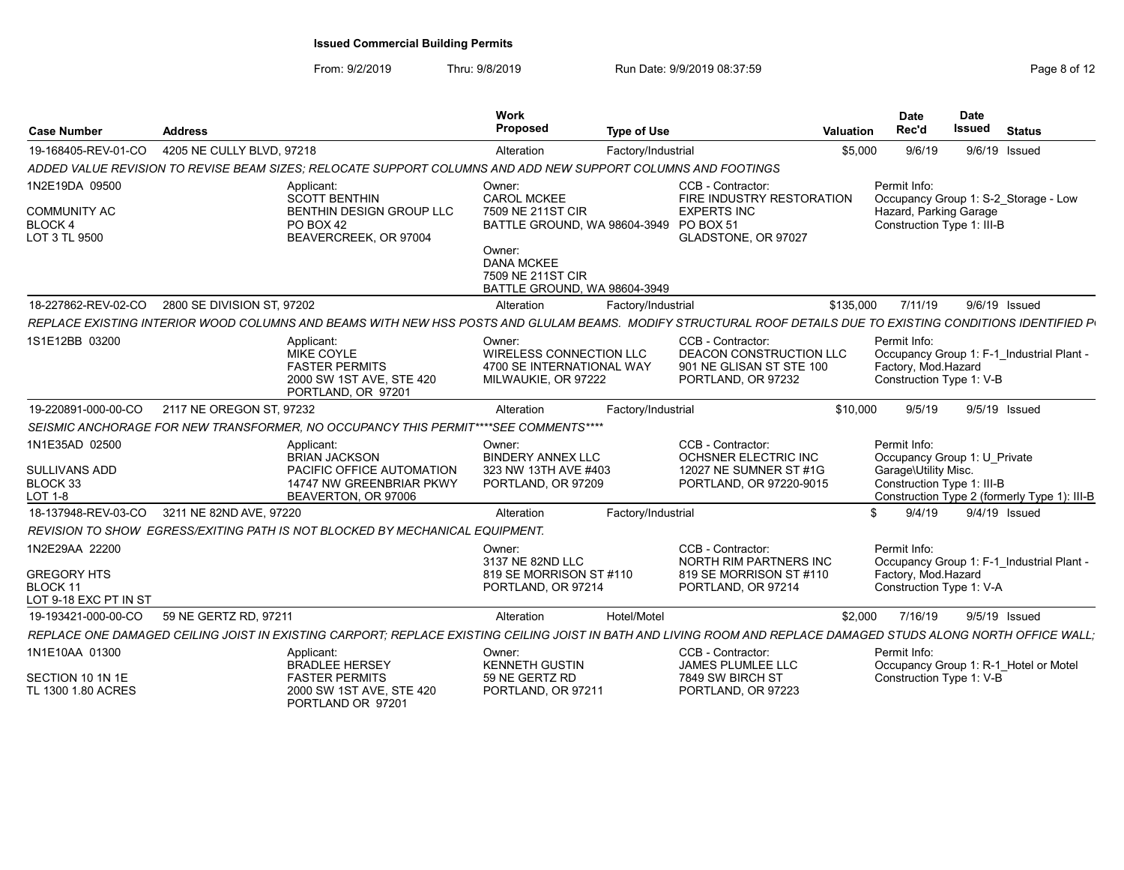| <b>Case Number</b>                                                        | <b>Address</b>                                                                                                                                                   | Work<br>Proposed<br><b>Type of Use</b>                                                                                                                                          | Valuation                                                                                      | Date<br>Rec'd                                                        | <b>Date</b><br>Issued<br><b>Status</b>                                       |
|---------------------------------------------------------------------------|------------------------------------------------------------------------------------------------------------------------------------------------------------------|---------------------------------------------------------------------------------------------------------------------------------------------------------------------------------|------------------------------------------------------------------------------------------------|----------------------------------------------------------------------|------------------------------------------------------------------------------|
| 19-168405-REV-01-CO                                                       | 4205 NE CULLY BLVD, 97218                                                                                                                                        | Factory/Industrial<br>Alteration                                                                                                                                                |                                                                                                | 9/6/19<br>\$5,000                                                    | 9/6/19 Issued                                                                |
|                                                                           | ADDED VALUE REVISION TO REVISE BEAM SIZES: RELOCATE SUPPORT COLUMNS AND ADD NEW SUPPORT COLUMNS AND FOOTINGS                                                     |                                                                                                                                                                                 |                                                                                                |                                                                      |                                                                              |
| 1N2E19DA 09500<br><b>COMMUNITY AC</b><br><b>BLOCK 4</b><br>LOT 3 TL 9500  | Applicant:<br><b>SCOTT BENTHIN</b><br>BENTHIN DESIGN GROUP LLC<br>PO BOX 42<br>BEAVERCREEK, OR 97004                                                             | Owner:<br><b>CAROL MCKEE</b><br>7509 NE 211ST CIR<br>BATTLE GROUND, WA 98604-3949 PO BOX 51<br>Owner:<br><b>DANA MCKEE</b><br>7509 NE 211ST CIR<br>BATTLE GROUND, WA 98604-3949 | CCB - Contractor:<br>FIRE INDUSTRY RESTORATION<br><b>EXPERTS INC</b><br>GLADSTONE, OR 97027    | Permit Info:<br>Hazard, Parking Garage<br>Construction Type 1: III-B | Occupancy Group 1: S-2 Storage - Low                                         |
|                                                                           | 18-227862-REV-02-CO 2800 SE DIVISION ST. 97202                                                                                                                   | Alteration                                                                                                                                                                      | Factory/Industrial                                                                             | \$135.000<br>7/11/19                                                 | 9/6/19 Issued                                                                |
|                                                                           | REPLACE EXISTING INTERIOR WOOD COLUMNS AND BEAMS WITH NEW HSS POSTS AND GLULAM BEAMS. MODIFY STRUCTURAL ROOF DETAILS DUE TO EXISTING CONDITIONS IDENTIFIED P     |                                                                                                                                                                                 |                                                                                                |                                                                      |                                                                              |
| 1S1E12BB 03200                                                            | Applicant:<br>MIKE COYLE<br><b>FASTER PERMITS</b><br>2000 SW 1ST AVE, STE 420<br>PORTLAND, OR 97201                                                              | Owner:<br>WIRELESS CONNECTION LLC<br>4700 SE INTERNATIONAL WAY<br>MILWAUKIE, OR 97222                                                                                           | CCB - Contractor:<br>DEACON CONSTRUCTION LLC<br>901 NE GLISAN ST STE 100<br>PORTLAND, OR 97232 | Permit Info:<br>Factory, Mod.Hazard<br>Construction Type 1: V-B      | Occupancy Group 1: F-1 Industrial Plant -                                    |
| 19-220891-000-00-CO                                                       | 2117 NE OREGON ST, 97232                                                                                                                                         | Factory/Industrial<br>Alteration                                                                                                                                                |                                                                                                | \$10,000<br>9/5/19                                                   | 9/5/19 Issued                                                                |
|                                                                           | SEISMIC ANCHORAGE FOR NEW TRANSFORMER, NO OCCUPANCY THIS PERMIT****SEE COMMENTS****                                                                              |                                                                                                                                                                                 |                                                                                                |                                                                      |                                                                              |
| 1N1E35AD 02500<br>SULLIVANS ADD<br>BLOCK 33<br>LOT 1-8                    | Applicant:<br>BRIAN JACKSON<br>PACIFIC OFFICE AUTOMATION<br>14747 NW GREENBRIAR PKWY<br>BEAVERTON, OR 97006                                                      | Owner:<br><b>BINDERY ANNEX LLC</b><br>323 NW 13TH AVE #403<br>PORTLAND, OR 97209                                                                                                | CCB - Contractor:<br>OCHSNER ELECTRIC INC<br>12027 NE SUMNER ST #1G<br>PORTLAND, OR 97220-9015 | Permit Info:<br>Garage\Utility Misc<br>Construction Type 1: III-B    | Occupancy Group 1: U_Private<br>Construction Type 2 (formerly Type 1): III-B |
|                                                                           | 18-137948-REV-03-CO 3211 NE 82ND AVE, 97220                                                                                                                      | Alteration<br>Factory/Industrial                                                                                                                                                |                                                                                                | 9/4/19                                                               | 9/4/19 Issued                                                                |
|                                                                           | <b>REVISION TO SHOW EGRESS/EXITING PATH IS NOT BLOCKED BY MECHANICAL EQUIPMENT</b>                                                                               |                                                                                                                                                                                 |                                                                                                |                                                                      |                                                                              |
| 1N2E29AA 22200<br><b>GREGORY HTS</b><br>BLOCK 11<br>LOT 9-18 EXC PT IN ST |                                                                                                                                                                  | Owner:<br>3137 NE 82ND LLC<br>819 SE MORRISON ST #110<br>PORTLAND, OR 97214                                                                                                     | CCB - Contractor:<br>NORTH RIM PARTNERS INC<br>819 SE MORRISON ST #110<br>PORTLAND, OR 97214   | Permit Info:<br>Factory, Mod.Hazard<br>Construction Type 1: V-A      | Occupancy Group 1: F-1 Industrial Plant -                                    |
| 19-193421-000-00-CO                                                       | 59 NE GERTZ RD, 97211                                                                                                                                            | Hotel/Motel<br>Alteration                                                                                                                                                       |                                                                                                | \$2.000<br>7/16/19                                                   | 9/5/19 Issued                                                                |
|                                                                           | REPLACE ONE DAMAGED CEILING JOIST IN EXISTING CARPORT; REPLACE EXISTING CEILING JOIST IN BATH AND LIVING ROOM AND REPLACE DAMAGED STUDS ALONG NORTH OFFICE WALL; |                                                                                                                                                                                 |                                                                                                |                                                                      |                                                                              |
| 1N1E10AA 01300<br>SECTION 10 1N 1E<br>TL 1300 1.80 ACRES                  | Applicant:<br><b>BRADLEE HERSEY</b><br><b>FASTER PERMITS</b><br>2000 SW 1ST AVE, STE 420<br>PORTLAND OR 97201                                                    | Owner:<br><b>KENNETH GUSTIN</b><br>59 NE GERTZ RD<br>PORTLAND, OR 97211                                                                                                         | CCB - Contractor:<br>JAMES PLUMLEE LLC<br>7849 SW BIRCH ST<br>PORTLAND, OR 97223               | Permit Info:<br>Construction Type 1: V-B                             | Occupancy Group 1: R-1 Hotel or Motel                                        |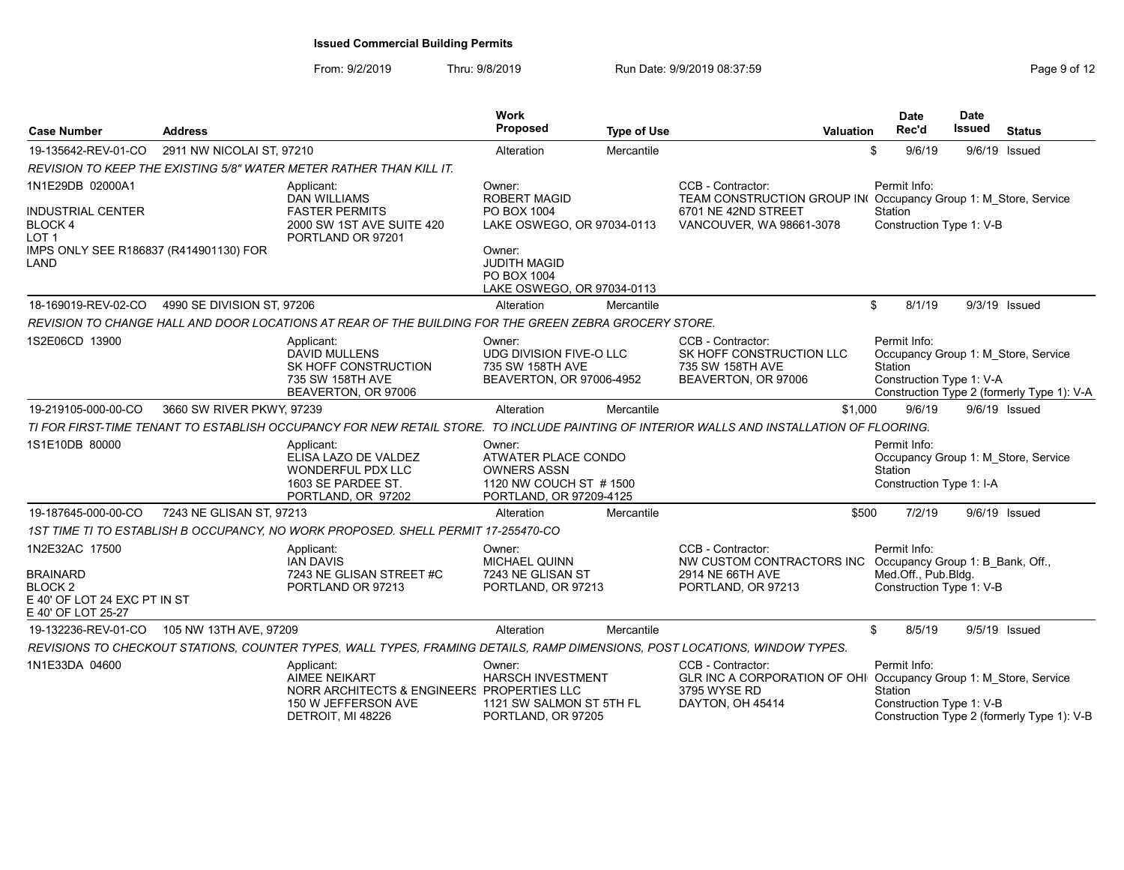| <b>Case Number</b>                                                                      | <b>Address</b>             |                                                                                                                              | <b>Work</b><br><b>Proposed</b>                                                                           | <b>Type of Use</b> | <b>Valuation</b>                                                                                                                          |                         | <b>Date</b><br>Rec'd | <b>Date</b><br><b>Issued</b> | <b>Status</b>                                                                     |
|-----------------------------------------------------------------------------------------|----------------------------|------------------------------------------------------------------------------------------------------------------------------|----------------------------------------------------------------------------------------------------------|--------------------|-------------------------------------------------------------------------------------------------------------------------------------------|-------------------------|----------------------|------------------------------|-----------------------------------------------------------------------------------|
| 19-135642-REV-01-CO                                                                     | 2911 NW NICOLAI ST, 97210  |                                                                                                                              | Alteration                                                                                               | Mercantile         |                                                                                                                                           | \$                      | 9/6/19               | 9/6/19 Issued                |                                                                                   |
|                                                                                         |                            | REVISION TO KEEP THE EXISTING 5/8" WATER METER RATHER THAN KILL IT.                                                          |                                                                                                          |                    |                                                                                                                                           |                         |                      |                              |                                                                                   |
| 1N1E29DB 02000A1                                                                        |                            | Applicant:<br><b>DAN WILLIAMS</b><br><b>FASTER PERMITS</b>                                                                   | Owner:<br>ROBERT MAGID<br>PO BOX 1004                                                                    |                    | CCB - Contractor:<br>TEAM CONSTRUCTION GROUP IN(Occupancy Group 1: M Store, Service<br>6701 NE 42ND STREET                                | Permit Info:<br>Station |                      |                              |                                                                                   |
| <b>INDUSTRIAL CENTER</b><br><b>BLOCK 4</b><br>LOT <sub>1</sub>                          |                            | 2000 SW 1ST AVE SUITE 420<br>PORTLAND OR 97201                                                                               | LAKE OSWEGO, OR 97034-0113                                                                               |                    | VANCOUVER, WA 98661-3078                                                                                                                  |                         |                      | Construction Type 1: V-B     |                                                                                   |
| IMPS ONLY SEE R186837 (R414901130) FOR<br>LAND                                          |                            |                                                                                                                              | Owner:<br><b>JUDITH MAGID</b><br>PO BOX 1004<br>LAKE OSWEGO, OR 97034-0113                               |                    |                                                                                                                                           |                         |                      |                              |                                                                                   |
| 18-169019-REV-02-CO                                                                     | 4990 SE DIVISION ST. 97206 |                                                                                                                              | Alteration                                                                                               | Mercantile         |                                                                                                                                           | \$                      | 8/1/19               |                              | 9/3/19 Issued                                                                     |
|                                                                                         |                            | REVISION TO CHANGE HALL AND DOOR LOCATIONS AT REAR OF THE BUILDING FOR THE GREEN ZEBRA GROCERY STORE.                        |                                                                                                          |                    |                                                                                                                                           |                         |                      |                              |                                                                                   |
| 1S2E06CD 13900                                                                          |                            | Applicant:<br>DAVID MULLENS<br>SK HOFF CONSTRUCTION<br>735 SW 158TH AVE<br>BEAVERTON, OR 97006                               | Owner:<br>UDG DIVISION FIVE-O LLC<br>735 SW 158TH AVE<br>BEAVERTON, OR 97006-4952                        |                    | CCB - Contractor:<br>SK HOFF CONSTRUCTION LLC<br>735 SW 158TH AVE<br>BEAVERTON, OR 97006                                                  | Permit Info:<br>Station |                      | Construction Type 1: V-A     | Occupancy Group 1: M Store, Service<br>Construction Type 2 (formerly Type 1): V-A |
| 19-219105-000-00-CO                                                                     | 3660 SW RIVER PKWY, 97239  |                                                                                                                              | Alteration                                                                                               | Mercantile         | \$1,000                                                                                                                                   |                         | 9/6/19               |                              | 9/6/19 Issued                                                                     |
|                                                                                         |                            |                                                                                                                              |                                                                                                          |                    | TI FOR FIRST-TIME TENANT TO ESTABLISH OCCUPANCY FOR NEW RETAIL STORE. TO INCLUDE PAINTING OF INTERIOR WALLS AND INSTALLATION OF FLOORING. |                         |                      |                              |                                                                                   |
| 1S1E10DB 80000                                                                          |                            | Applicant:<br>ELISA LAZO DE VALDEZ<br><b>WONDERFUL PDX LLC</b><br>1603 SE PARDEE ST.<br>PORTLAND, OR 97202                   | Owner:<br>ATWATER PLACE CONDO<br><b>OWNERS ASSN</b><br>1120 NW COUCH ST #1500<br>PORTLAND, OR 97209-4125 |                    |                                                                                                                                           | Permit Info:<br>Station |                      | Construction Type 1: I-A     | Occupancy Group 1: M Store, Service                                               |
| 19-187645-000-00-CO                                                                     | 7243 NE GLISAN ST, 97213   |                                                                                                                              | Alteration                                                                                               | Mercantile         | \$500                                                                                                                                     |                         | 7/2/19               | 9/6/19 Issued                |                                                                                   |
|                                                                                         |                            | 1ST TIME TI TO ESTABLISH B OCCUPANCY, NO WORK PROPOSED. SHELL PERMIT 17-255470-CO                                            |                                                                                                          |                    |                                                                                                                                           |                         |                      |                              |                                                                                   |
| 1N2E32AC 17500                                                                          |                            | Applicant:<br><b>IAN DAVIS</b>                                                                                               | Owner:<br><b>MICHAEL QUINN</b>                                                                           |                    | CCB - Contractor:<br>NW CUSTOM CONTRACTORS INC Occupancy Group 1: B Bank, Off.,                                                           | Permit Info:            |                      |                              |                                                                                   |
| <b>BRAINARD</b><br><b>BLOCK 2</b><br>E 40' OF LOT 24 EXC PT IN ST<br>E 40' OF LOT 25-27 |                            | 7243 NE GLISAN STREET #C<br>PORTLAND OR 97213                                                                                | 7243 NE GLISAN ST<br>PORTLAND, OR 97213                                                                  |                    | 2914 NE 66TH AVE<br>PORTLAND, OR 97213                                                                                                    |                         | Med.Off., Pub.Bldg.  | Construction Type 1: V-B     |                                                                                   |
| 19-132236-REV-01-CO                                                                     | 105 NW 13TH AVE, 97209     |                                                                                                                              | Alteration                                                                                               | Mercantile         |                                                                                                                                           | \$                      | 8/5/19               | 9/5/19 Issued                |                                                                                   |
|                                                                                         |                            | REVISIONS TO CHECKOUT STATIONS, COUNTER TYPES, WALL TYPES, FRAMING DETAILS, RAMP DIMENSIONS, POST LOCATIONS, WINDOW TYPES.   |                                                                                                          |                    |                                                                                                                                           |                         |                      |                              |                                                                                   |
| 1N1E33DA 04600                                                                          |                            | Applicant:<br><b>AIMEE NEIKART</b><br>NORR ARCHITECTS & ENGINEERS PROPERTIES LLC<br>150 W JEFFERSON AVE<br>DETROIT, MI 48226 | Owner:<br><b>HARSCH INVESTMENT</b><br>1121 SW SALMON ST 5TH FL<br>PORTLAND, OR 97205                     |                    | CCB - Contractor:<br>GLR INC A CORPORATION OF OHI<br>3795 WYSE RD<br>DAYTON, OH 45414                                                     | Permit Info:<br>Station |                      | Construction Type 1: V-B     | Occupancy Group 1: M Store, Service<br>Construction Type 2 (formerly Type 1): V-B |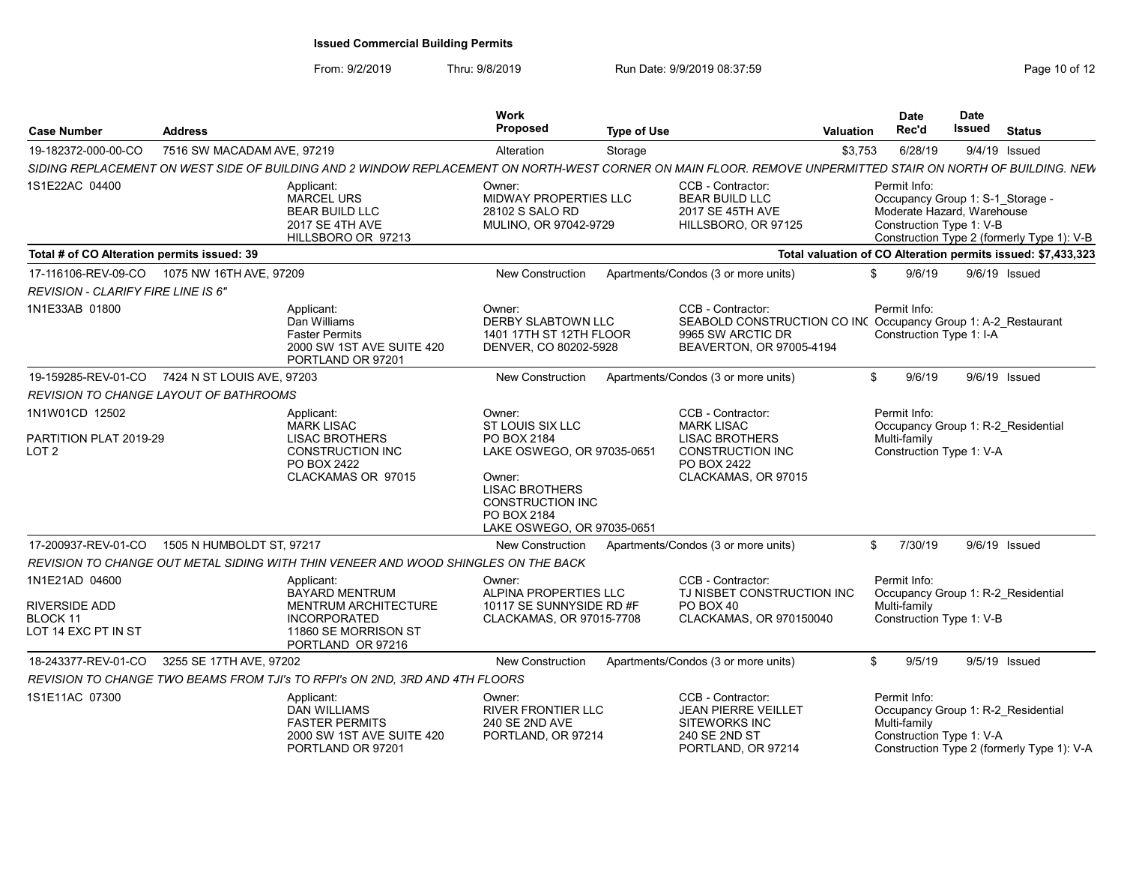| <b>Case Number</b>                                                 | <b>Address</b>             |                                                                                                                                                             | Work<br><b>Proposed</b>                                                                                                               | <b>Type of Use</b> |                                                                                                                                     | Valuation    | <b>Date</b><br>Rec'd                                                                                       | <b>Date</b><br>Issued | <b>Status</b>                                                                    |
|--------------------------------------------------------------------|----------------------------|-------------------------------------------------------------------------------------------------------------------------------------------------------------|---------------------------------------------------------------------------------------------------------------------------------------|--------------------|-------------------------------------------------------------------------------------------------------------------------------------|--------------|------------------------------------------------------------------------------------------------------------|-----------------------|----------------------------------------------------------------------------------|
| 19-182372-000-00-CO                                                | 7516 SW MACADAM AVE, 97219 |                                                                                                                                                             | Alteration                                                                                                                            | Storage            |                                                                                                                                     | \$3,753      | 6/28/19                                                                                                    |                       | 9/4/19 Issued                                                                    |
|                                                                    |                            | SIDING REPLACEMENT ON WEST SIDE OF BUILDING AND 2 WINDOW REPLACEMENT ON NORTH-WEST CORNER ON MAIN FLOOR. REMOVE UNPERMITTED STAIR ON NORTH OF BUILDING. NEW |                                                                                                                                       |                    |                                                                                                                                     |              |                                                                                                            |                       |                                                                                  |
| 1S1E22AC 04400                                                     |                            | Applicant:<br><b>MARCEL URS</b><br><b>BEAR BUILD LLC</b><br><b>2017 SE 4TH AVE</b><br>HILLSBORO OR 97213                                                    | Owner:<br>MIDWAY PROPERTIES LLC<br>28102 S SALO RD<br>MULINO, OR 97042-9729                                                           |                    | CCB - Contractor:<br><b>BEAR BUILD LLC</b><br>2017 SE 45TH AVE<br>HILLSBORO, OR 97125                                               |              | Permit Info:<br>Occupancy Group 1: S-1_Storage -<br>Moderate Hazard, Warehouse<br>Construction Type 1: V-B |                       | Construction Type 2 (formerly Type 1): V-B                                       |
| Total # of CO Alteration permits issued: 39                        |                            |                                                                                                                                                             |                                                                                                                                       |                    |                                                                                                                                     |              |                                                                                                            |                       | Total valuation of CO Alteration permits issued: \$7,433,323                     |
| 17-116106-REV-09-CO                                                | 1075 NW 16TH AVE, 97209    |                                                                                                                                                             | New Construction                                                                                                                      |                    | Apartments/Condos (3 or more units)                                                                                                 | \$           | 9/6/19                                                                                                     |                       | 9/6/19 Issued                                                                    |
| <b>REVISION - CLARIFY FIRE LINE IS 6"</b>                          |                            |                                                                                                                                                             |                                                                                                                                       |                    |                                                                                                                                     |              |                                                                                                            |                       |                                                                                  |
| 1N1E33AB 01800                                                     |                            | Applicant:<br>Dan Williams<br><b>Faster Permits</b><br>2000 SW 1ST AVE SUITE 420<br>PORTLAND OR 97201                                                       | Owner:<br><b>DERBY SLABTOWN LLC</b><br>1401 17TH ST 12TH FLOOR<br>DENVER, CO 80202-5928                                               |                    | CCB - Contractor:<br>SEABOLD CONSTRUCTION CO INC Occupancy Group 1: A-2_Restaurant<br>9965 SW ARCTIC DR<br>BEAVERTON, OR 97005-4194 |              | Permit Info:<br>Construction Type 1: I-A                                                                   |                       |                                                                                  |
| 19-159285-REV-01-CO 7424 N ST LOUIS AVE, 97203                     |                            |                                                                                                                                                             | New Construction                                                                                                                      |                    | Apartments/Condos (3 or more units)                                                                                                 | \$           | 9/6/19                                                                                                     |                       | 9/6/19 Issued                                                                    |
| <b>REVISION TO CHANGE LAYOUT OF BATHROOMS</b>                      |                            |                                                                                                                                                             |                                                                                                                                       |                    |                                                                                                                                     |              |                                                                                                            |                       |                                                                                  |
| 1N1W01CD 12502<br>PARTITION PLAT 2019-29                           |                            | Applicant:<br><b>MARK LISAC</b><br><b>LISAC BROTHERS</b>                                                                                                    | Owner:<br>ST LOUIS SIX LLC<br>PO BOX 2184                                                                                             |                    | CCB - Contractor:<br><b>MARK LISAC</b><br><b>LISAC BROTHERS</b>                                                                     |              | Permit Info:<br>Multi-family                                                                               |                       | Occupancy Group 1: R-2 Residential                                               |
| LOT <sub>2</sub>                                                   |                            | <b>CONSTRUCTION INC</b><br>PO BOX 2422<br>CLACKAMAS OR 97015                                                                                                | LAKE OSWEGO, OR 97035-0651<br>Owner:<br><b>LISAC BROTHERS</b><br><b>CONSTRUCTION INC</b><br>PO BOX 2184<br>LAKE OSWEGO, OR 97035-0651 |                    | <b>CONSTRUCTION INC</b><br>PO BOX 2422<br>CLACKAMAS, OR 97015                                                                       |              | Construction Type 1: V-A                                                                                   |                       |                                                                                  |
| 17-200937-REV-01-CO                                                | 1505 N HUMBOLDT ST, 97217  |                                                                                                                                                             | New Construction                                                                                                                      |                    | Apartments/Condos (3 or more units)                                                                                                 | $\mathbb{S}$ | 7/30/19                                                                                                    |                       | 9/6/19 Issued                                                                    |
|                                                                    |                            | REVISION TO CHANGE OUT METAL SIDING WITH THIN VENEER AND WOOD SHINGLES ON THE BACK                                                                          |                                                                                                                                       |                    |                                                                                                                                     |              |                                                                                                            |                       |                                                                                  |
| 1N1E21AD 04600<br>RIVERSIDE ADD<br>BLOCK 11<br>LOT 14 EXC PT IN ST |                            | Applicant:<br><b>BAYARD MENTRUM</b><br><b>MENTRUM ARCHITECTURE</b><br><b>INCORPORATED</b><br>11860 SE MORRISON ST<br>PORTLAND OR 97216                      | Owner:<br>ALPINA PROPERTIES LLC<br>10117 SE SUNNYSIDE RD #F<br>CLACKAMAS, OR 97015-7708                                               |                    | CCB - Contractor:<br>TJ NISBET CONSTRUCTION INC<br>PO BOX 40<br>CLACKAMAS, OR 970150040                                             |              | Permit Info:<br>Multi-family<br>Construction Type 1: V-B                                                   |                       | Occupancy Group 1: R-2 Residential                                               |
| 18-243377-REV-01-CO                                                | 3255 SE 17TH AVE, 97202    |                                                                                                                                                             | <b>New Construction</b>                                                                                                               |                    | Apartments/Condos (3 or more units)                                                                                                 | \$           | 9/5/19                                                                                                     |                       | 9/5/19 Issued                                                                    |
|                                                                    |                            | REVISION TO CHANGE TWO BEAMS FROM TJI's TO RFPI's ON 2ND, 3RD AND 4TH FLOORS                                                                                |                                                                                                                                       |                    |                                                                                                                                     |              |                                                                                                            |                       |                                                                                  |
| 1S1E11AC 07300                                                     |                            | <b>Applicant</b><br><b>DAN WILLIAMS</b><br><b>FASTER PERMITS</b><br>2000 SW 1ST AVE SUITE 420<br>PORTLAND OR 97201                                          | Owner:<br><b>RIVER FRONTIER LLC</b><br>240 SE 2ND AVE<br>PORTLAND, OR 97214                                                           |                    | CCB - Contractor:<br><b>JEAN PIERRE VEILLET</b><br>SITEWORKS INC<br>240 SE 2ND ST<br>PORTLAND, OR 97214                             |              | Permit Info:<br>Multi-family<br>Construction Type 1: V-A                                                   |                       | Occupancy Group 1: R-2 Residential<br>Construction Type 2 (formerly Type 1): V-A |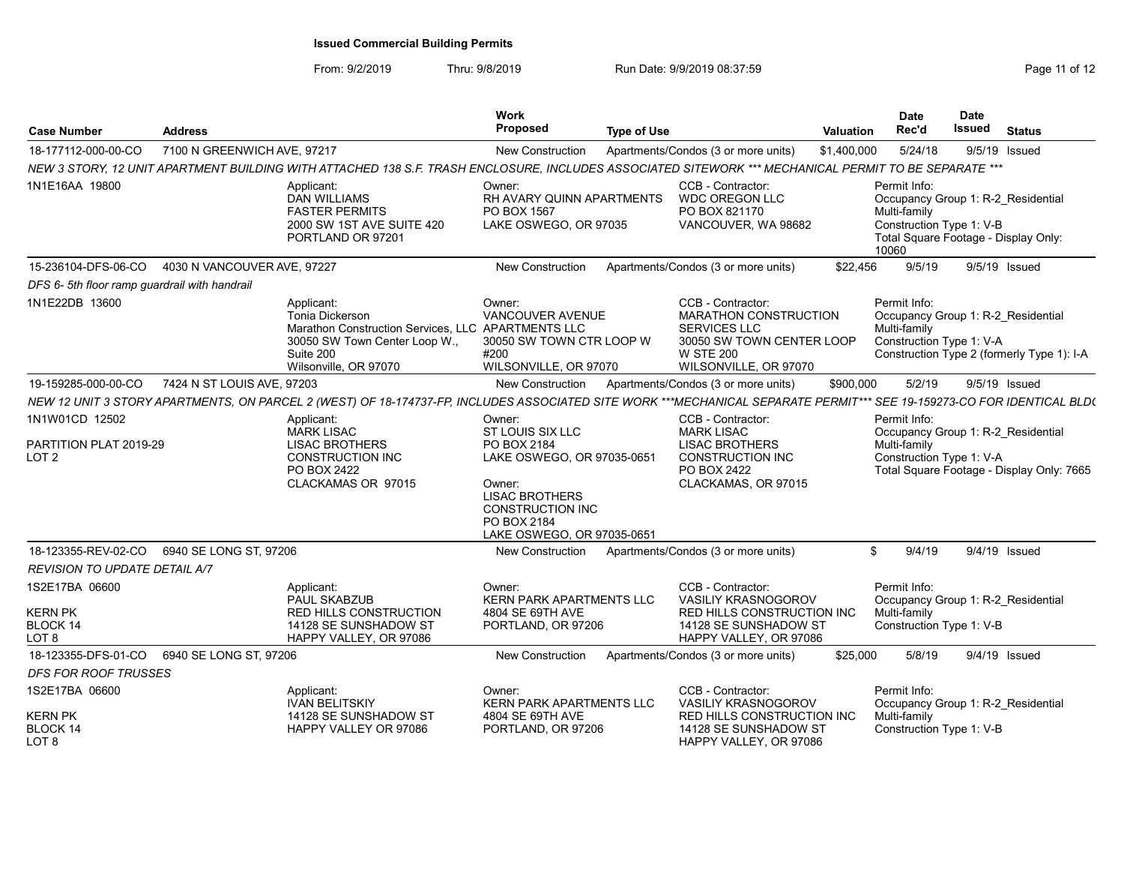| <b>Case Number</b><br>Address                                           |                                     |                                                                                                                                                                        | <b>Work</b><br><b>Proposed</b>                                                                                                                                                     | <b>Type of Use</b>              |                                                                                                                                                    | Valuation                                          | <b>Date</b><br>Rec'd                                                                                                                            | <b>Date</b><br>Issued | <b>Status</b>                              |  |
|-------------------------------------------------------------------------|-------------------------------------|------------------------------------------------------------------------------------------------------------------------------------------------------------------------|------------------------------------------------------------------------------------------------------------------------------------------------------------------------------------|---------------------------------|----------------------------------------------------------------------------------------------------------------------------------------------------|----------------------------------------------------|-------------------------------------------------------------------------------------------------------------------------------------------------|-----------------------|--------------------------------------------|--|
| 18-177112-000-00-CO                                                     | 7100 N GREENWICH AVE, 97217         |                                                                                                                                                                        | New Construction                                                                                                                                                                   |                                 | Apartments/Condos (3 or more units)                                                                                                                | \$1,400,000                                        | 5/24/18                                                                                                                                         |                       | $9/5/19$ Issued                            |  |
|                                                                         |                                     | NEW 3 STORY, 12 UNIT APARTMENT BUILDING WITH ATTACHED 138 S.F. TRASH ENCLOSURE, INCLUDES ASSOCIATED SITEWORK *** MECHANICAL PERMIT TO BE SEPARATE ***                  |                                                                                                                                                                                    |                                 |                                                                                                                                                    |                                                    |                                                                                                                                                 |                       |                                            |  |
| 1N1E16AA 19800                                                          |                                     | Applicant:<br><b>DAN WILLIAMS</b><br><b>FASTER PERMITS</b><br>2000 SW 1ST AVE SUITE 420<br>PORTLAND OR 97201                                                           | Owner:<br>RH AVARY QUINN APARTMENTS<br>PO BOX 1567<br>LAKE OSWEGO, OR 97035                                                                                                        |                                 | CCB - Contractor:<br><b>WDC OREGON LLC</b><br>PO BOX 821170<br>VANCOUVER, WA 98682                                                                 |                                                    | Permit Info:<br>Occupancy Group 1: R-2 Residential<br>Multi-family<br>Construction Type 1: V-B<br>Total Square Footage - Display Only:<br>10060 |                       |                                            |  |
| 15-236104-DFS-06-CO                                                     | 4030 N VANCOUVER AVE, 97227         |                                                                                                                                                                        | <b>New Construction</b>                                                                                                                                                            |                                 | Apartments/Condos (3 or more units)                                                                                                                | \$22,456                                           | 9/5/19                                                                                                                                          |                       | 9/5/19 Issued                              |  |
| DFS 6-5th floor ramp guardrail with handrail                            |                                     |                                                                                                                                                                        |                                                                                                                                                                                    |                                 |                                                                                                                                                    |                                                    |                                                                                                                                                 |                       |                                            |  |
| 1N1E22DB 13600                                                          |                                     | Applicant:<br><b>Tonia Dickerson</b><br>Marathon Construction Services, LLC APARTMENTS LLC<br>30050 SW Town Center Loop W.,<br>Suite 200<br>Wilsonville, OR 97070      | Owner:<br>VANCOUVER AVENUE<br>30050 SW TOWN CTR LOOP W<br>#200<br>WILSONVILLE, OR 97070                                                                                            |                                 | CCB - Contractor:<br><b>MARATHON CONSTRUCTION</b><br><b>SERVICES LLC</b><br>30050 SW TOWN CENTER LOOP<br><b>W STE 200</b><br>WILSONVILLE, OR 97070 |                                                    | Permit Info:<br>Occupancy Group 1: R-2 Residential<br>Multi-family<br>Construction Type 1: V-A                                                  |                       | Construction Type 2 (formerly Type 1): I-A |  |
| 19-159285-000-00-CO                                                     | 7424 N ST LOUIS AVE, 97203          |                                                                                                                                                                        | New Construction                                                                                                                                                                   |                                 | Apartments/Condos (3 or more units)                                                                                                                | \$900,000                                          | 5/2/19                                                                                                                                          |                       | 9/5/19 Issued                              |  |
|                                                                         |                                     | NEW 12 UNIT 3 STORY APARTMENTS, ON PARCEL 2 (WEST) OF 18-174737-FP, INCLUDES ASSOCIATED SITE WORK ***MECHANICAL SEPARATE PERMIT*** SEE 19-159273-CO FOR IDENTICAL BLD( |                                                                                                                                                                                    |                                 |                                                                                                                                                    |                                                    |                                                                                                                                                 |                       |                                            |  |
| 1N1W01CD 12502<br>PARTITION PLAT 2019-29<br>LOT <sub>2</sub>            |                                     | Applicant:<br><b>MARK LISAC</b><br><b>LISAC BROTHERS</b><br><b>CONSTRUCTION INC</b><br>PO BOX 2422<br>CLACKAMAS OR 97015                                               | Owner:<br>ST LOUIS SIX LLC<br>PO BOX 2184<br>LAKE OSWEGO, OR 97035-0651<br>Owner:<br><b>LISAC BROTHERS</b><br><b>CONSTRUCTION INC</b><br>PO BOX 2184<br>LAKE OSWEGO, OR 97035-0651 |                                 | CCB - Contractor:<br><b>MARK LISAC</b><br><b>LISAC BROTHERS</b><br><b>CONSTRUCTION INC</b><br>PO BOX 2422<br>CLACKAMAS, OR 97015                   |                                                    | Permit Info:<br>Occupancy Group 1: R-2 Residential<br>Multi-family<br>Construction Type 1: V-A                                                  |                       | Total Square Footage - Display Only: 7665  |  |
| 18-123355-REV-02-CO                                                     | 6940 SE LONG ST. 97206              |                                                                                                                                                                        | New Construction                                                                                                                                                                   |                                 | Apartments/Condos (3 or more units)                                                                                                                |                                                    | 9/4/19<br>\$                                                                                                                                    |                       | $9/4/19$ Issued                            |  |
| REVISION TO UPDATE DETAIL A/7                                           |                                     |                                                                                                                                                                        |                                                                                                                                                                                    |                                 |                                                                                                                                                    |                                                    |                                                                                                                                                 |                       |                                            |  |
| 1S2E17BA 06600<br><b>KERN PK</b><br><b>BLOCK 14</b><br>LOT <sub>8</sub> |                                     | Applicant:<br>PAUL SKABZUB<br><b>RED HILLS CONSTRUCTION</b><br>14128 SE SUNSHADOW ST<br>HAPPY VALLEY, OR 97086                                                         | Owner:<br><b>KERN PARK APARTMENTS LLC</b><br>4804 SE 69TH AVE<br>PORTLAND, OR 97206                                                                                                |                                 | CCB - Contractor:<br><b>VASILIY KRASNOGOROV</b><br><b>RED HILLS CONSTRUCTION INC</b><br>14128 SE SUNSHADOW ST<br>HAPPY VALLEY, OR 97086            |                                                    | Permit Info:<br>Occupancy Group 1: R-2 Residential<br>Multi-family<br>Construction Type 1: V-B                                                  |                       |                                            |  |
| 18-123355-DFS-01-CO                                                     | 6940 SE LONG ST, 97206              |                                                                                                                                                                        | <b>New Construction</b>                                                                                                                                                            |                                 | Apartments/Condos (3 or more units)                                                                                                                | \$25,000                                           | 5/8/19                                                                                                                                          |                       | 9/4/19 Issued                              |  |
| <b>DFS FOR ROOF TRUSSES</b>                                             |                                     |                                                                                                                                                                        |                                                                                                                                                                                    |                                 |                                                                                                                                                    |                                                    |                                                                                                                                                 |                       |                                            |  |
| 1S2E17BA 06600                                                          | Applicant:<br><b>IVAN BELITSKIY</b> |                                                                                                                                                                        |                                                                                                                                                                                    | <b>KERN PARK APARTMENTS LLC</b> | CCB - Contractor:<br><b>VASILIY KRASNOGOROV</b>                                                                                                    | Permit Info:<br>Occupancy Group 1: R-2 Residential |                                                                                                                                                 |                       |                                            |  |
| <b>KERN PK</b><br>BLOCK 14<br>LOT <sub>8</sub>                          |                                     | 14128 SE SUNSHADOW ST<br>HAPPY VALLEY OR 97086                                                                                                                         | 4804 SE 69TH AVE<br>PORTLAND, OR 97206                                                                                                                                             |                                 | RED HILLS CONSTRUCTION INC<br>14128 SE SUNSHADOW ST<br>HAPPY VALLEY, OR 97086                                                                      |                                                    | Multi-family<br>Construction Type 1: V-B                                                                                                        |                       |                                            |  |